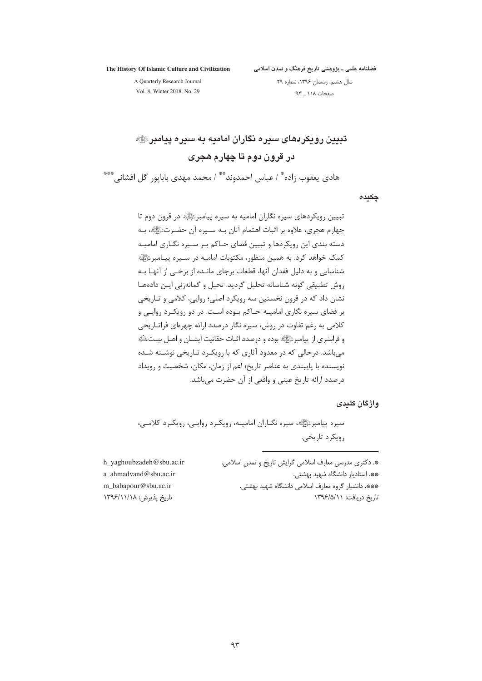The History Of Islamic Culture and Civilization

.<br>فصلنامه علمی ــ یژوهشی تاریخ فرهنگ و تمدن اسلامی

A Quarterly Research Journal

سال هشتم، زمستان ۱۳۹۶، شماره ۲۹ صفحات ١١٨ \_ ٩٣

Vol. 8, Winter 2018, No. 29

تعیین رویکردهای سیره نگاران امامیه به سیره پیامبر ﷺ در قرون دوم تا چهارم هجری

هادي يعقوب زاده ٌ / عباس احمدوند ٌ ٌ / محمد مهدي بابايور ۖ گل افشاني ٌ \*\*\*

چکیدہ

تبیین رویکردهای سیره نگاران امامیه به سیره پیامبرﷺ در قرون دوم تا چهارم هجری، علاوه بر اثبات اهتمام آنان بـه سـيره آن حضـرتﷺ، بـه دسته بندی این رویکردها و تبیین فضای حـاکم بـر سـیره نگـاری امامیـه کمک خواهد کرد. به همین منظور، مکتوبات امامیه در ســیره پیــامبرﷺ شناسایی و به دلیل فقدان آنها، قطعات برجای مانـده از برخــی از آنهـا بــه روش تطبيقي گونه شناسانه تحليل گرديد. تحيل و گمانهزني ايـن دادههـا نشان داد که در قرون نخستین سه رویکرد اصلی؛ روایی، کلامی و تـاریخی بر فضای سیره نگاری امامیـه حـاکم بـوده اسـت. در دو رویکـرد روایـی و کلامی به رغم تفاوت در روش، سیره نگار درصدد ارائه چهرهای فراتـاریخی و فرابشري از پيامبرﷺ بوده و درصدد اثبات حقانيت ايشــان و اهــل بيــتﷺ می باشد. درحالی که در معدود آثاری که با رویک رد تـاریخی نوشــته شــده نویسنده با پایبندی به عناصر تاریخ؛ اعم از زمان، مکان، شخصیت و رویداد درصدد ارائه تاریخ عینی و واقعی از آن حضرت می باشد.

## و اژ گان کلیدی

سیره پیامبرﷺ، سیره نگــاران امامیــه، رویکـرد روایــی، رویکـرد کلامــی، رويكرد تاريخي.

h\_yaghoubzadeh@sbu.ac.ir a ahmadvand@sbu.ac.ir m babapour@sbu.ac.ir تاریخ پذیرش: ۱۳۹۶/۱۱/۱۸

\*. دکتری مدرسی معارف اسلامی گرایش تاریخ و تمدن اسلامی. \*\*. استادبار دانشگاه شهید بهشتی. \*\*\*. دانشیار گروه معارف اسلامی دانشگاه شهید بهشتی. تاریخ دریافت: ۱۳۹۶/۵/۱۱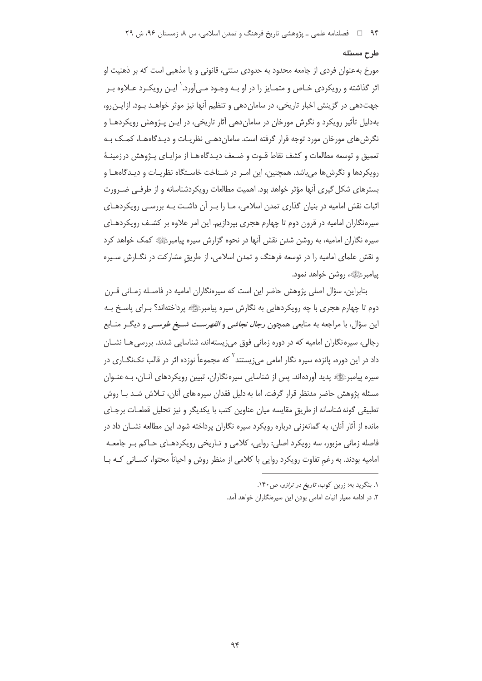## طرح مسئله

مورخ به عنوان فردی از جامعه محدود به حدودی سنتی، قانونی و یا مذهبی است که بر ذهنیت او اثر گذاشته و رویکردی خـاص و متمـایز را در او بـه وجـود مـی آورد. ٰ ایـن رویکـرد عـلاوه بـر جهت دهی در گزینش اخبار تاریخی، در سامان دهی و تنظیم آنها نیز موثر خواهـد بـود. ازایـن رو، بهدلیل تأثیر رویکرد و نگرش مورخان در سامان دهی آثار تاریخی، در ایـن پـژوهش رویکردهـا و نگرش های مورخان مورد توجه قرار گرفته است. سامان دهـی نظریـات و دیـدگاههـا، کمـک بـه تعميق و توسعه مطالعات و كشف نقاط قـوت و ضـعف ديـدگاه هـا از مزايـاي پـژوهش درزمينـهٔ رویکردها و نگرش ها می باشد. همچنین، این امـر در شـناخت خاسـتگاه نظریـات و دیـدگاههـا و بسترهای شکل گیری آنها مؤثر خواهد بود. اهمیت مطالعات رویکردشناسانه و از طرفـی ضـرورت اثبات نقش امامیه در بنیان گذاری تمدن اسلامی، مـا را بـر آن داشـت بـه بررسـی رویکردهـای سیرهنگاران امامیه در قرون دوم تا چهارم هجری بپردازیم. این امر علاوه بر کشـف رویکردهـای سیره نگاران امامیه، به روشن شدن نقش آنها در نحوه گزارش سیره پیامبرﷺ کمک خواهد کرد و نقش علمای امامیه را در توسعه فرهنگ و تمدن اسلامی، از طریق مشارکت در نگــارش ســیره ييامبر ﷺ، روشن خواهد نمود.

بنابراین، سؤال اصلی پژوهش حاضر این است که سیرهنگاران امامیه در فاصـله زمـانی قــرن دوم تا چهارم هجری با چه رویکردهایی به نگارش سیره پیامبرﷺ پرداختهاند؟ بـرای پاسـخ بـه این سؤال، با مراجعه به منابعی همچون *رجال نجاشی و الفهرست شـیخ طوسـی* و دیگـر منـابع رجالی، سپره نگاران امامیه که در دوره زمانی فوق می;یستهاند، شناسایی شدند. بررسی هـا نشــان داد در این دوره، پانزده سیره نگار امامی می; پستند<sup>۲</sup> که مجموعاً نوزده اثر در قالب تک $\mathcal{Z}$ اری در سیره پیامبرﷺ پدید آوردهاند. پس از شناسایی سیرهنگاران، تبیین رویکردهای آنـان، بـهعنـوان مسئله پژوهش حاضر مدنظر قرار گرفت. اما به دلیل فقدان سیره های آنان، تـلاش شـد بـا روش تطبيقي گونه شناسانه از طريق مقايسه ميان عناوين كتب با يكديگر و نيز تحليل قطعـات برجـاي مانده از آثار آنان، به گمانهزنی درباره رویکرد سیره نگاران پرداخته شود. این مطالعه نشــان داد در فاصله زمانی مزبور، سه رویکرد اصلی: روایی، کلامی و تـاریخی رویکردهـای حـاکم بـر جامعـه امامیه بودند. به رغم تفاوت رویکرد روایی با کلامی از منظر روش و احیاناً محتوا، کسـانی کـه بـا

۱. بنگرید به: زرین کوب، *تاریخ در ترازو*، ص ۱۴۰.

٢. در ادامه معيار اثبات امامي بودن اين سيرهنگاران خواهد آمد.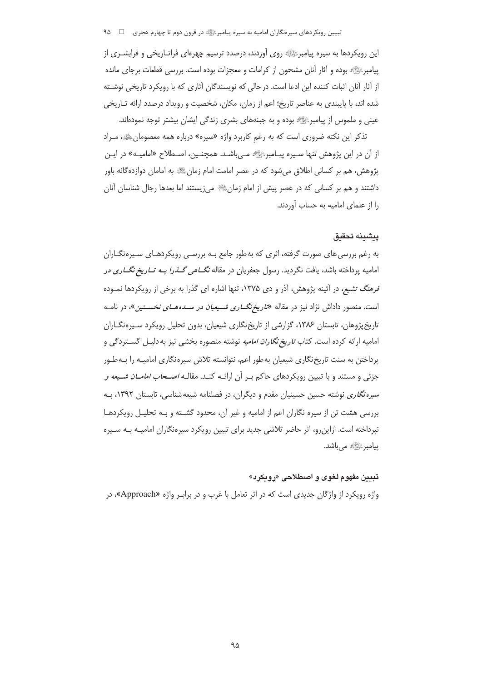این رویکردها به سیره پیامبرﷺ روی آوردند، درصدد ترسیم چهرهای فراتـاریخی و فرابشــری از پیامبرﷺ بوده و آثار آنان مشحون از کرامات و معجزات بوده است. بررسی قطعات برجای مانده از آثار آنان اثبات کننده این ادعا است. در حالی که نویسندگان آثاری که با رویکرد تاریخی نوشـته شده اند، با پایبندی به عناصر تاریخ؛ اعم از زمان، مکان، شخصیت و رویداد درصدد ارائه تـاریخی عینی و ملموس از پیامبرﷺ بوده و به جبنههای بشری زندگی ایشان بیشتر توجه نمودهاند.

تذکر این نکته ضروری است که به رغم کاربرد واژه «سیره» درباره همه معصومانﷺ، مـراد از آن در این پژوهش تنها سـیره پیـامبرﷺ مـی!شـد. همچنـین، اصـطلاح «امامیـه» در ایـن پژوهش، هم بر کسانی اطلاق میشود که در عصر امامت امام زمانﷺ به امامان دوازدهگانه باور داشتند و هم بر کسانی که در عصر پیش از امام زمانﷺ می;پستند اما بعدها رجال شناسان آنان را از علمای امامیه به حساب آوردند.

## يبشينه تحقيق

به رغم بررسی های صورت گرفته، اثری که بهطور جامع بـه بررسـی رویکردهـای سـیرهنگـاران امامیه پرداخته باشد، یافت نگردید. رسول جعفریان در مقاله *نگـــاهی گـــذرا بــه تــاریغ نگـــاری در* قرمنگ تشیع، در آئینه پژوهش، آذر و دی ۱۳۷۵، تنها اشاره ای گذرا به برخی از رویکردها نمـوده است. منصور داداش نژاد نیز در مقاله «*تاریخ نگــاری شــیعیان در ســدههــای نخســتین*»، در نامــه تاریخ پژوهان، تابستان ۱۳۸۶، گزارشی از تاریخ نگاری شیعیان، بدون تحلیل رویکرد سپره نگـاران امامیه ارائه کرده است. کتاب *تاریخ نگاران امامیه* نوشته منصوره بخشی نیز به دلیـل گســتردگی و پرداختن به سنت تاریخ نگاری شیعیان به طور اعم، نتوانسته تلاش سپرهنگاری امامیـه را بـهطـور جزئی و مستند و با تبیین رویکردهای حاکم بـر آن ارائـه کنـد. مقال*ـه اصـحاب امامــان شــیعه و* سیره *نگاری* نوشته حسین حسینیان مقدم و دیگران، در فصلنامه شیعه شناسی، تابستان ۱۳۹۲، بـه بررسی هشت تن از سیره نگاران اعم از امامیه و غیر آن، محدود گشـته و بـه تحلیـل رویکردهـا نیرداخته است. ازاین٫و، اثر حاضر تلاشی جدید برای تبیین ٫ویکرد سپرهنگاران امامیـه بـه سـیره یپامبر ﷺ مے باشد.

## تبيين مفهوم لغوي و اصطلاحي «رويكرد»

واژه رویکرد از واژگان جدیدی است که در اثر تعامل با غرب و در براب واژه «Approach»، در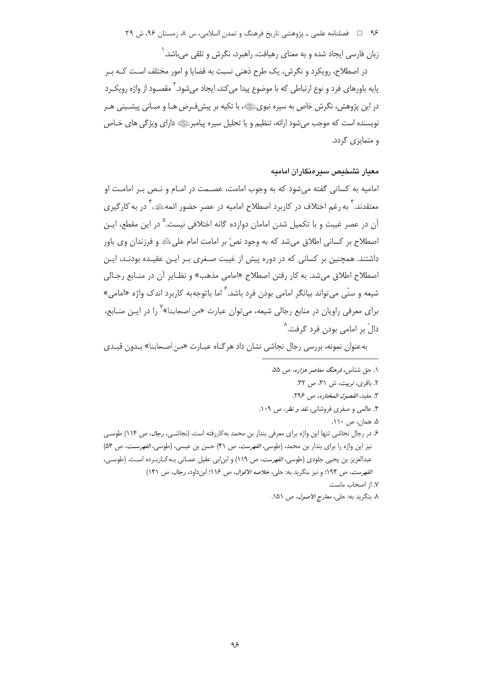۹۶ = فصلنامه علمی ـ پژوهشی تاریخ فرهنگ و تمدن اسلامی، س ۸، زمستان ۹۶، ش ۲۹

زبان فارسی ایجاد شده و به معنای رهیافت، راهبرد، نگرش و تلقی می،باشد. ۱

در اصطلاح، رویکرد و نگرش، یک طرح ذهنی نسبت به قضایا و امور مختلف اسـت کـه بـر پايه باورهاي فرد و نوع ارتباطي كه با موضوع پيدا مي كند، ايجاد مي شود.<sup>۲</sup> مقصـود از واژه رويكـرد در این پژوهش، نگرش خاص به سیره نبویﷺ، با تکیه بر پیش فـرض هـا و مبـانی پیشـینی هـر نویسنده است که موجب می شود ارائه، تنظیم و یا تحلیل سیره پیامبرﷺ دارای ویژگی های خـاص و متمایزی گردد.

## معيار تشخيص سيرهنگاران اماميه

امامیه به کسانی گفته میشود که به وجوب امامت، عصـمت در امـام و نـص بـر امامـت او معتقدند. ۖ به رغم اختلاف در کاربرد اصطلاح امامیه در عصر حضور ائمهﷺ، ۖ در به کارگیری آن در عصر غیبت و با تکمیل شدن امامان دوازده گانه اختلافی نیست.<sup>۵</sup> در این مقطع، ایـن اصطلاح بر کسانی اطلاق میشد که به وجود نصّ بر امامت امام علیﷺ و فرزندان وی باور داشتند. همچنین بر کسانی که در دوره پیش از غیبت صـغری بـر ایـن عقیـده بودنـد، ایـن اصطلاح اطلاق می شد. به کار رفتن اصطلاح «امامی مذهب» و نظـایر آن در منـابع رجـالی شیعه و سنّی می تواند بیانگر امامی بودن فرد باشد.<sup>۶</sup> اما باتوجهبه کاربرد اندک واژه «امامی» برای معرفی راویان در منابع رجالی شیعه، می توان عبارت «من اصحابنا» <sup>۷</sup> را در ایـن منـابع، دالٌ بر امامی بودن فرد گرفت.^

به عنوان نمونه، بررسی رجال نجاشی نشان داد هرگـاه عبـارت «مـن اصـحابنا» بـدون قیـدی

۰۱ حق شناس، فر*هنگ معاصر هزاره*، ص ۵۵. ٢. باقرى، تربيت، ش ٣١، ص ٣٢. ٣. مفيد، *الفصول المختاره*، ص ٢٩۶. ۴. عالمی و صفری فروشانی، *نقد و نظر*، ص ۱۰۹. ۵. همان، ص ۱۱۰. ۶ـ در رجال نجاشي تنها اين واژه براي معرفي بندار بن محمد بهكاررفته است. (نجاشـي، *رجال*، ص ۱۱۴) طوســ ، نيز اين واژه را براي بندار بن محمد، (طوسي، *الفهرست*، ص ۴۱) حسن بن عيسى، (طوسي، *الفهرست، ص* ۵۴) عبدالعزيز بن يحيى جلودي (طوسي، *الفهرست*، ص ١١٩) و ابن ابي عقيل عمـاني بـه كـاربـرده اسـت. (طوسـي، الفهرست، ص ١٩٣؛ و نيز بنكريد به: حلي، خلاصه الاقوال، ص ١١٤؛ ابن داود، رجال، ص ١۴١) ٧. از اصحاب ماست.

٨. بنگرید به: حلبي، *معارج الاصول*، ص ١۵١.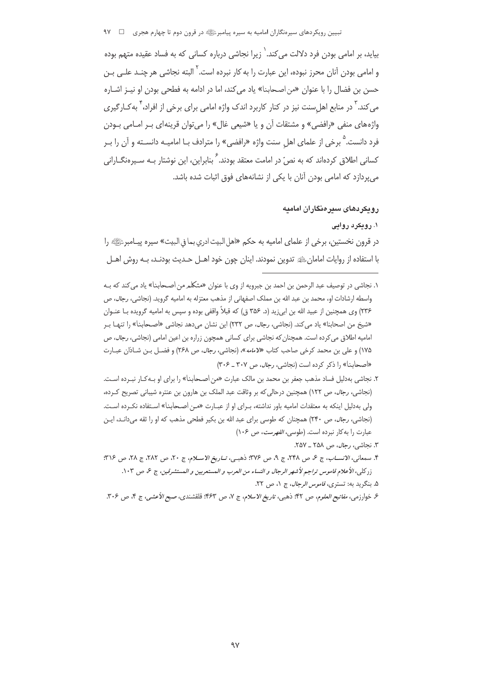۔<br>تبیین رویکردهای سیرہنگاران امامیه به سیرہ پیامبرﷺ در قرون دوم تا چھارم هجری □ ٩٧

بیاید، بر امامی بودن فرد دلالت می کند. <sup>(</sup> زیرا نجاشی درباره کسانی که به فساد عقیده متهم بوده و امامی بودن آنان محرز نبوده، این عبارت را به کار نبرده است. ٰ البته نجاشی هر چنـد علـی بـن حسن بن فضال را با عنوان «من اصحابنا» ياد مي كند، اما در ادامه به فطحى بودن او نيـز اشـاره می کند. <sup>۳</sup> در منابع اهل سنت نیز در کنار کاربرد اندک واژه امامی برای برخی از افراد، <sup>۴</sup> به *ک*ـارگیری واژههای منفی «رافضی» و مشتقات آن و یا «شیعی غال» را می توان قرینهای بـر امـامی بـودن فرد دانست. <sup>۵</sup> برخی از علمای اهل سنت واژه «رافضی» را مترادف بـا امامیـه دانسـته و آن را بـر کسانی اطلاق کردهاند که به نصّ در امامت معتقد بودند.<sup>۶</sup> بنابراین، این نوشتار بـه سـیرهنگــارانی می پردازد که امامی بودن آنان با یکی از نشانههای فوق اثبات شده باشد.

## ر و یکر دهای سیر منگار ان امامیه

## ۰۱ رویکرد روایی

در قرون نخستين، برخي از علماي اماميه به حكم «اهل البيت ادري بما في البيت» سيره پيــامبرﷺ» را با استفاده از روايات امامان،ﷺ تدوين نمودند. اينان چون خود اهــل حــديث بودنــد، بــه روش اهــل

- ۱. نجاشی در توصیف عبد الرحمن بن احمد بن جبرویه از وی با عنوان «متکلم من اصـحابنا» یاد می کند که بـه واسطه ارشادات او، محمد بن عبد الله بن مملک اصفهانی از مذهب معتزله به امامیه گروید. (نجاشی، *رجال*، ص ۲۳۶) وی همچنین از عبید الله بن ابیiید (د. ۳۵۶ ق) که قبلاً واقفی بوده و سپس به امامیه گرویده بـا عنـوان «شيخ من اصحابنا» ياد مي كند. (نجاشي، *رجال، ص ٢*٣٢) اين نشان مي دهد نجاشي «اصحابنا» را تنهـا بـر امامیه اطلاق می کرده است. همچنان که نجاشی برای کسانی همچون زراره بن اعین امامی (نجاشی، *رجال*، ص ۱۷۵) و علی بن محمد کرخی صاحب کتاب «لام*امه*»، (نجاشی، *رجال*، ص ۲۶۸) و فضـل بـن شـاذان عبـارت «اصحابنا» را ذکر کرده است (نجاشی، رجال، ص ٣٠٧ ـ ٣٠۶)
- ۲. نجاشی بهدلیل فساد مذهب جعفر بن محمد بن مالک عبارت «من اصـحابنا» را برای او بـه *ک*ـار نبـرده اسـت. (نجاشی، *رجال، ص ١*٢٢) همچنین درحالی که بر وثاقت عبد الملک بن هارون بن عنتره شیبانی تصریح کرده، ولی بهدلیل اینکه به معتقدات امامیه باور نداشته، بـرای او از عبـارت «مـن اصـحابنا» اسـتفاده نکـرده اسـت. (نجاشی، *رجال*، ص ۲۴۰) همچنان که طوسی برای عبد الله بن بکیر فطحی مذهب که او را ثقه می دانـد، ایـن عبارت را به كار نبرده است. (طوسى، *الفهرست*، ص ١٠۶)
	- ٣. نجاشي، *رجال*، ص ٢٥٨ \_ ٢٥٧.
- ۴. سمعاني، الانســاب، ج ع ص ٢٩٨، ج ٩، ص ٣٧۶: ذهبي، تــاريغ الاســلام، ج ٢٠، ص ٢٨٢، ج ٢٨، ص ٣١۶: زر كلي، الأعلام قاموس تراجم لأشهر الرجال و النساء من العرب و المستعربين و المستشرقين، ج ع، ص ١٠٣. ۵. بنگرید به: تستری، *قاموس الرجال*، ج ۰/ ص ۲۲.

ع خوارزمي، *مفاتيح العلوم، ص ۴*۲؛ ذهبي، *تاريخ الاسلام*، ج ٧، ص ۴۶۳؛ قلقشندي، صب*ح الأعشي*، ج ۴، ص ۳۰۶.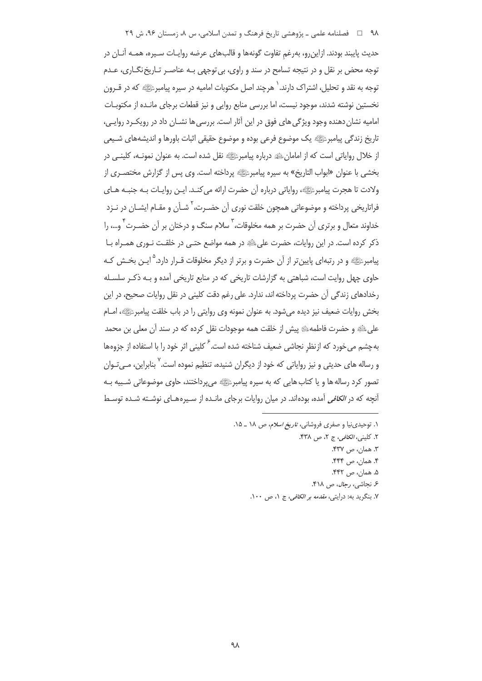# ۹۸٪ سی اسلامی، س ۸، زمینه و میلی تاریخ فرهنگ و تمدن اسلامی، س ۸، زمستان ۹۶، ش ۲۹

حديث پايبند بودند. ازاين٫و، بەرغمِ تفاوت گونەها و قالبھای عرضه روايـات سـيره، همـه آنـان در توجه محض بر نقل و در نتیجه تسامح در سند و راوی، بی توجهی بـه عناصـر تـاریخ نگـاری، عـدم نوجه به نقد و تحلیل، اشتراک دارند. <sup>۱</sup> هرچند اصل مکتوبات امامیه در سیره پیامبرﷺ که در قــرون نخستین نوشته شدند، موجود نیست، اما بررسی منابع روایی و نیز قطعات برجای مانـده از مکتوبــات 'مامیه نشان دهنده وجود ویژگی های فوق در این آثار است. بررسی ها نشــان داد در رویکــرد روایــی، ناریخ زندگی پیامبرﷺ یک موضوع فرعی بوده و موضوع حقیقی اثبات باورها و اندیشههای شـیعی از خلال روایاتی است که از امامانﷺ درباره پیامبرﷺ نقل شده است. به عنوان نمونــه، کلینــی در بخشی با عنوان «ابواب التاريخ» به سيره پيامبرﷺ پرداخته است. وی پس از گزارش مختصـری از ولادت تا هجرت پیامبرﷺ، روایاتی درباره أن حضرت ارائه میكنـد. ایــن روایــات بــه جنبــه هــای فراتاریخی پرداخته و موضوعاتی همچون خلقت نوری آن حضـرت،<sup>۲</sup> شـأن و مقـام ایشـان در نـزد خداوند متعال و برتری آن حضرت بر همه مخلوقات،<sup>۳</sup> سلام سنگ و درختان بر آن حضـرت<sup>۴</sup> و…، را ذکر کرده است. در این روایات، حضرت علیﷺ در همه مواضع حتـی در خلقـت نـوری همـراه بــا ییامبرﷺ و در رتبهای پایینتر از آن حضرت و برتر از دیگر مخلوقات قـرار دارد.<sup>۵</sup> ایـن بخـش کـه حاوی چهل روایت است، شباهتی به گزارشات تاریخی که در منابع تاریخی آمده و بـه ذکـر سلسـله رخدادهای زندگی آن حضرت پرداخته اند، ندارد. علی رغم دقت کلینی در نقل روایات صحیح، در این بخش روایات ضعیف نیز دیده میشود. به عنوان نمونه وی روایتی را در باب خلقت پیامبرﷺ، امــام على ﷺ و حضرت فاطمه ﷺ پیش از خلقت همه موجودات نقل كرده كه در سند أن معلى بن محمد بهچشم میخورد که از نظرِ نجاشی ضعیف شناخته شده است.<sup>۶</sup> کلینی اثر خود را با استفاده از جزوهها و رساله های حدیثی و نیز روایاتی که خود از دیگران شنیده، تنظیم نموده است.<sup>۷</sup> بنابراین، مـیتـوان نصور کرد رساله ها و یا کتاب هایی که به سیره پیامبرﷺ میپرداختند، حاوی موضوعاتی شـبیه بـه أنچه که در *الکافی* آمده، بودهاند. در میان روایات برجای مانـده از سـیرههـای نوشـته شـده توسـط

- ۱. توحیدی:یا و صفری فروشانی، *تاریخ اسلام، ص ۱۸ \_ ۱*۵. ۲. کلین*ی، الکافی*، ج ۲، ص ۴۳۸. ٣. همان، ص ۴۳۷. ۴. همان، ص ۴۴۴. ۵. همان، ص ۴۴۲.
	- ۶ نجاشی، *رجال*، ص ۴۱۸.
	- ۷. بنگرید به: درایتی*، مقدمه بر الکافی،* ج ۱، ص ۱۰۰.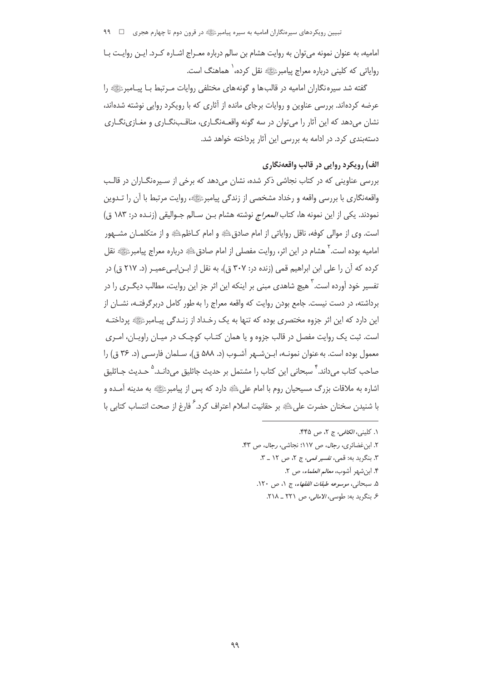تبیین رویکردهای سیرهنگاران امامیه به سیره پیامبرﷺ در قرون دوم تا چهارم هجری ہے الکلا

امامیه، به عنوان نمونه می توان به روایت هشام بن سالم درباره معـراج اشـاره کـرد. ایـن روایـت بـا روایاتی که کلینی درباره معراج پیامبرﷺ نقل کرده، ٰ هماهنگ است.

گفته شد سیره نگاران امامیه در قالب ها و گونه های مختلفی روایات مـرتبط بـا پیـامبرﷺ را عرضه کردهاند. بررسی عناوین و روایات برجای مانده از آثاری که با رویکرد روایی نوشته شدهاند، نشان مي دهد كه اين آثار را مي توان در سه گونه واقعـهنگــاري، مناقــبنگــاري و مغــازي نگــاري دستهبندی کرد. در ادامه به بررسی این آثار پرداخته خواهد شد.

# الف) رويكرد روايي در قالب واقعهنگاري

بررسی عناوینی که در کتاب نجاشی ذکر شده، نشان میدهد که برخی از سـیرهنگـاران در قالـب واقعهنگاري با بررسي واقعه و رخداد مشخصي از زندگي پيامبرﷺ، روايت مرتبط با آن را تــدوين نمودند. يكي از اين نمونه ها، كتاب *المعراج* نوشته هشام بـن سـالم جـواليقي (زنـده در: ۱۸۳ ق) است. وي از موالي كوفه، ناقل رواياتي از امام صادقﷺ و امام كـاظمِ اللهِ و از متكلمـان مشـهور امامیه بوده است. <sup>۲</sup> هشام در این اثر، روایت مفصلی از امام صادق ﷺ درباره معراج پیامبرﷺ نقل کرده که آن را علی ابن ابراهیم قمی (زنده در: ۳۰۷ ق)، به نقل از ابـنابـیءمیـر (د. ۲۱۷ ق) در تفسیر خود آورده است.<sup>۲</sup> هیچ شاهدی مبنی بر اینکه این اثر جز این روایت، مطالب دیگـری را در برداشته، در دست نیست. جامع بودن روایت که واقعه معراج را به طور کامل دربرگرفتـه، نشــان از این دارد که این اثر جزوه مختصری بوده که تنها به یک رخـداد از زنـدگی پیـامبرﷺ پرداختـه است. ثبت یک روایت مفصل در قالب جزوه و یا همان کتـاب کوچـک در میـان راویـان، امـری معمول بوده است. به عنوان نمونـه، ابـنشـهر آشـوب (د. ۵۸۸ ق)، سـلمان فارسـي (د. ۳۶ ق) را صاحب کتاب میداند.<sup>۲</sup> سبحانی این کتاب را مشتمل بر حدیث جاثلیق میدانـد.<sup>۵</sup> حـدیث جـاثلیق اشاره به ملاقات بزرگ مسیحیان روم با امام علیﷺ دارد که پس از پیامبرﷺ به مدینه آمـده و با شنیدن سخنان حضرت علیﷺ بر حقانیت اسلام اعتراف کرد. ۢ فارغ از صحت انتساب کتابی با

- ٣. بنگريد به: قمي، تفسير قمي، ج ٢، ص ١٢ \_ ٣.
	- ۴. ابن شهر آشوب، *معالم العلماء*، ص ۲.
- ۵. سبحاني، *موسوعه طبقات الفقهاء، ج ۰، ص ۱۲۰.* 
	- ۶. بنگرید به: طوسی، *الامالی،* ص ۲۲۱ \_ ۲۱۸.

١. كليني، *الكافي،* ج ٢، ص ۴۴۵.

٢. ابن غضائري، رجال، ص ١١٧؛ نجاشي، رجال، ص ۴٣.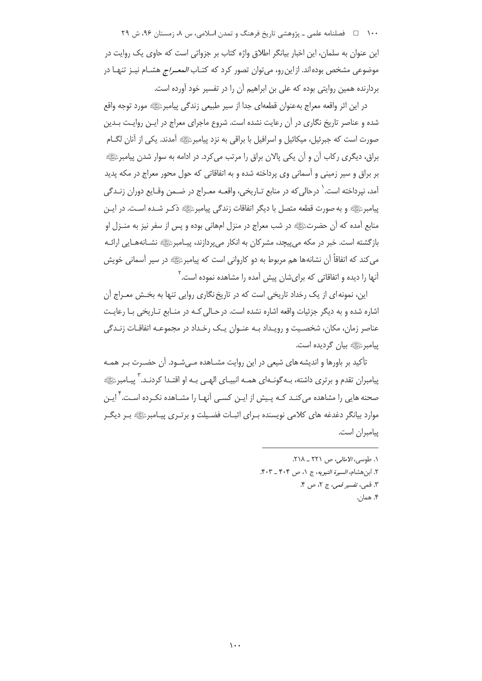۱۰۰ فصلنامه علمی ـ پژوهشی تاریخ فرهنگ و تمدن اسلامی، س ۸، زمستان ۹۶، ش ۲۹ این عنوان به سلمان، این اخبار بیانگر اطلاق واژه کتاب بر جزواتی است که حاوی یک روایت در موضوعی مشخص بودهاند. ازاین رو، میتوان تصور کرد که کتـاب *المعـراج* هشـام نیـز تنهـا در بردارنده همین روایتی بوده که علی بن ابراهیم آن را در تفسیر خود آورده است.

در اين اثر واقعه معراج بهعنوان قطعهاي جدا از سير طبيعي زندگي پيامبرﷺ مورد توجه واقع شده و عناصر تاریخ نگاری در آن رعایت نشده است. شروع ماجرای معراج در ایـن روایـت بـدین صورت است که جبرئیل، میکائیل و اسرافیل با براقی به نزد پیامبرﷺ آمدند. یکی از آنان لگـام براق، دیگری رکاب آن و آن یکی پالان براق را مرتب می کرد. در ادامه به سوار شدن پیامبرﷺ بر براق و سیر زمینی و آسمانی وی پرداخته شده و به اتفاقاتی که حول محور معراج در مکه پدید آمد، نيرداخته است. ٰ درحالي که در منابع تـاريخي، واقعــه معـراج در ضــمن وقـايع دوران زنــدگي يبامبرﷺ و به صورت قطعه متصل با ديگر اتفاقات زندگي پيامبرﷺ ذكير شـده اسـت. در ايـن منابع آمده که آن حضرتﷺ در شب معراج در منزل امهانی بوده و پس از سفر نیز به منـزل او بازگشته است. خبر در مکه می پیچد، مشرکان به انکار می پردازند، پیـامبرﷺ نشـانههـایی ارائـه می کند که اتفاقاً آن نشانهها هم مربوط به دو کاروانی است که پیامبرﷺ در سیر آسمانی خویش آنها را دیده و اتفاقاتی که برایشان پیش آمده را مشاهده نموده است. <sup>۱</sup>

این، نمونه ای از یک رخداد تاریخی است که در تاریخ نگاری روایی تنها به بخـش معـراج آن اشاره شده و به دیگر جزئیات واقعه اشاره نشده است. در حـالی کـه در منـابع تـاریخی بـا رعایـت عناصر زمان، مكان، شخصيت و رويـداد بـه عنـوان يـك رخـداد در مجموعـه اتفاقـات زنـدگي ييامبر ﷺ بيان گرديده است.

تأکید بر باورها و اندیشه های شیعی در این روایت مشـاهده مـیشـود. آن حضـرت بـر همـه پیامبران تقدم و برتری داشته، بـه گونـهای همـه انبیـای الهـی بـه او اقتـدا کردنـد. <sup>۳</sup> پیـامبرﷺ صحنه هایی را مشاهده می کنـد کـه پـیش از ایـن کسـی آنهـا را مشــاهده نکـرده اسـت. ٌّ ایـن موارد بیانگر دغدغه های کلامی نویسنده بـرای اثبـات فضـیلت و برتـری پیـامبرﷺ بـر دیگـر پیامبران است.

> ١. طوسى، الأمالى، ص ٢٢١ \_ ٢١٨. ٢. ابن هشام، *السيرة النبويه*، ج ١، ص ٤٠٤ \_ ٠.٣. ٣. قمي، تفسير قمي، ج ٢، ص ۴. ۴. همان.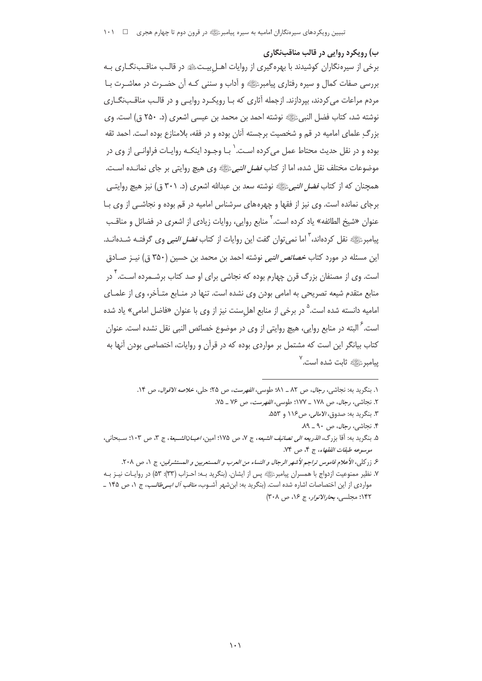ب) رویکرد روایی در قالب مناقبنگاری برخی از سپرهنگاران کوشیدند با بهره گیری از روایات اهــل بیـتﷺ در قالـب مناقــبـنگــاری بــه بررسی صفات کمال و سیره رفتاری پیامبرﷺ و اّداب و سننی کـه اّن حضـرت در معاشـرت بـا مردم مراعات می کردند، بپردازند. ازجمله آثاری که بـا رویکـرد روایـی و در قالـب مناقــبنگــاری نوشته شد، كتاب فضل النبيﷺ نوشته احمد بن محمد بن عيسى اشعرى (د. ٢۵٠ ق) است. وي بزرگ علمای امامیه در قم و شخصیت برجسته آنان بوده و در فقه، بلامنازع بوده است. احمد ثقه بوده و در نقل حدیث محتاط عمل می کرده اسـت. ٰ بـا وجـود اینکـه روایـات فراوانـی از وی در موضوعات مختلف نقل شده، اما از كتاب *فضل النبي*ِّئي وي هيچ روايتي بر جاي نمانـده اسـت. همچنان که از کتاب *فضل النبي*ءَﷺ نوشته سعد بن عبدالله اشعري (د. ۳۰۱ ق) نيز هيچ روايتـي برجای نمانده است. وی نیز از فقها و چهرههای سرشناس امامیه در قم بوده و نجاشـی از وی بـا عنوان «شيخ الطائفه» ياد كرده است.<sup>۲</sup> منابع روايي، روايات زيادي از اشعري در فضائل و مناقـب پیامبرﷺ نقل کردهاند، ٰ اما نمی توان گفت این روایات از کتاب *فضل النبی* وی گرفتـه شــدهانــد. این مسئله در مورد کتاب *خصائص النبی* نوشته احمد بن محمد بن حسین (۳۵۰ ق) نیـز صـادق است. وی از مصنفان بزرگ قرن چهارم بوده که نجاشی برای او صد کتاب برشــمرده اسـت. ٌ در منابع متقدم شیعه تصریحی به امامی بودن وی نشده است. تنها در منـابع متـأخر، وی از علمـای امامیه دانسته شده است.<sup>۵</sup> در برخی از منابع اهلِسنت نیز از وی با عنوان «فاضل امامی» یاد شده است. <sup>۲</sup> البته در منابع روایی، هیچ روایتی از وی در موضوع خصائص النبی نقل نشده است. عنوان کتاب بیانگر این است که مشتمل بر مواردی بوده که در قرآن و روایات، اختصاصی بودن آنها به ییامبرﷺ ثابت شده است.<sup>۷</sup>

١. بنگريد به: نجاشي، رجال، ص ٨٢ \_ ٨١؛ طوسي، *الفهرست، ص* ٢۵؛ حلي، *خلاصه الاقوال*، ص ١۴.

٢. نجاشى، رجال، ص ١٧٨ \_ ١٧٧: طوسى، *الفهرست*، ص ٧۶ \_ ٧۵.

٣. بنگريد به: صدوق، *الامالي، ص١١۶* و ۵۵۳. ۴. نجاشی، *رجال*، ص ۹۰ ـ ۸۹.

۵. بنگريد به: آقا بزرگ، *الذريعه الي تصانيف الشيعه*، ج ٧، ص ١٧۵؛ امين، *اعيــانالشــيعة*، ج ٣، ص ١٠٣؛ سـبحاني،

موسوعه طبقات الفقهاء، ج ۴، ص ۷۴. ۶. زركلي، الأعلام قاموس تراجم لأشهر الرجال و النساء من العرب و المستعربين و المستشرقين، ج ١، ص ٢٠٨.

٧. نظير ممنوعيت ازدواج با همسران پيامبرﷺ پس از ايشان. (بنگريد بـه: احـزاب (٣٣): ٥٣) در روايـات نيـز بـه مواردی از این اختصاصات اشاره شده است. (بنگرید به: ابن شهر آشـوب*، مناقب آل ابـی طالـب، ج* ۱، ص ۱۴۵ ـ ۱۴۲؛ مجلسي، بح*ارالانوار*، ج ۱۶، ص ۳۰۸)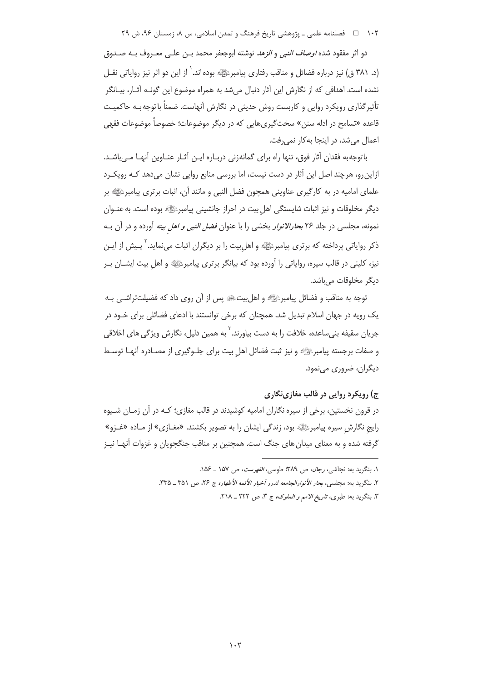۱۰۲ □ فصلنامه علمی ـ پژوهشی تاریخ فرهنگ و تمدن اسلامی، س ۸، زمستان ۹۶، ش ۲۹

دو اثر مفقود شده *اوصاف النبي و الزهد* نوشته ابوجعفر محمد بـن علـى معـروف بـه صـدوق (د. ۳۸۱ ق) نیز درباره فضائل و مناقب رفتاری پیامبرﷺ بوده اند. ٰ از این دو اثر نیز روایاتی نقــل نشده است. اهدافی که از نگارش این آثار دنبال میشد به همراه موضوع این گونـه آثـار، بیـانگر تأثیرگذاری رویکرد روایی و کاربست روش حدیثی در نگارش آنهاست. ضمناً با توجه بـه حاکمیـت قاعده «تسامح در ادله سنن» سخت&یریهایی که در دیگر موضوعات؛ خصوصاً موضوعات فقهی اعمال می شد، در اینجا به کار نمی رفت.

باتوجهبه فقدان آثار فوق، تنها راه براي گمانهزني دربـاره ايـن آثـار عنـاوين آنهـا مـىباشـد. ازاین٫و، هرچند اصل این آثار در دست نیست، اما بررسی منابع روایی نشان می٫دهد کـه رویکـرد علمای امامیه در به کارگیری عناوینی همچون فضل النبی و مانند آن، اثبات برتری پیامبرﷺ بر دیگر مخلوقات و نیز اثبات شایستگی اهل بیت در احراز جانشینی پیامبرﷺ بوده است. به عنـوان نمونه، مجلسی در جلد ۲۶ ب*حارالانوار* بخشی را با عنوان *فضل النبی و اهل بیته* آورده و در آن بـه ذکر روایاتی پرداخته که برتری پیامبرﷺ و اهل بیت را بر دیگران اثبات می نماید. <sup>۲</sup> پـیش از ایـن نیز، کلینی در قالب سیره، روایاتی را آورده بود که بیانگر برتری پیامبرﷺ و اهل بیت ایشــان بــر دیگر مخلوقات مے باشد.

توجه به مناقب و فضائل پیامبرﷺ و اهل بیتﷺ پس از آن روی داد که فضیلتتراشـی بـه یک رویه در جهان اسلام تبدیل شد. همچنان که برخی توانستند با ادعای فضائلی برای خـود در جریان سقیفه بنے ساعدہ، خلافت را به دست بیاورند. <sup>۳</sup> به همین دلیل، نگارش ویژگی های اخلاقی و صفات برجسته پیامبرﷺ و نیز ثبت فضائل اهل بیت برای جلـوگیری از مصـادره آنهـا توسـط ديگران، ضروري مي نمود.

# ج) ,ویکرد ,وایی در قالب مغازینگاری

در قرون نخستین، برخی از سیره نگاران امامیه کوشیدند در قالب مغازی؛ کـه در آن زمـان شـیوه رایج نگارش سیره پیامبرﷺ بود، زندگی ایشان را به تصویر بکشند. «مغـازی» از مـاده «غـزو» گرفته شده و به معنای میدان های جنگ است. همچنین بر مناقب جنگجویان و غزوات آنهـا نیـز

١. بنگريد به: نجاشي، رجال، ص ٣٨٩؛ طوسي، *الفهرست*، ص ١٥٧ \_ ١۵۶.

٢. بنگريد به: مجلسي، بحار الأن*وارالجامعه لد*رر أخبار الأئمه الأطهار، ج ٢۶، ص ٣۵١ \_ ٣٣۵.

٣. بنگريد به: طبري، *تاريخ الامم و الملوک،* ج ٣، ص ٢٢٢ \_ ٢١٨.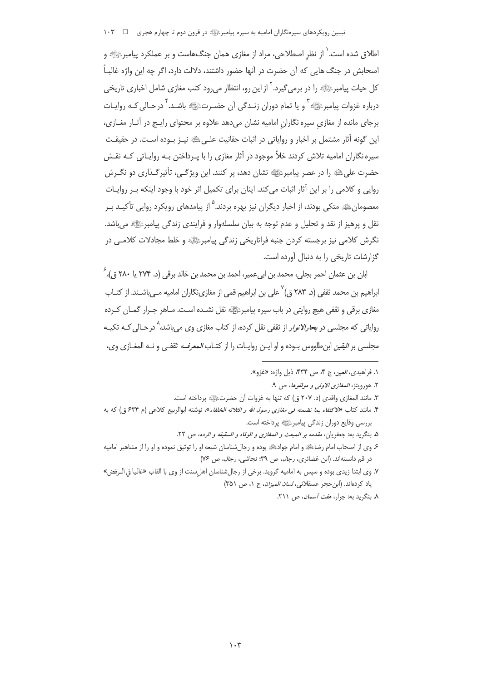اطلاق شده است. ٰ از نظر اصطلاحی، مراد از مغازی همان جنگهاست و بر عملکرد پیامبرﷺ و اصحابش در جنگ هایی که آن حضرت در آنها حضور داشتند، دلالت دارد، اگر چه این واژه غالبـاً کل حیات پیامبرﷺ، را در برمی گیرد. <sup>۲</sup> از این رو، انتظار می رود کتب مغازی شامل اخباری تاری*خی* درباره غزوات پیامبرﷺ و یا تمام دوران زنـدگی اَن حضـرتﷺ باشـد. ۚ درحـالی کـه روایـات برجای مانده از مغازی سیره نگاران امامیه نشان می دهد علاوه بر محتوای رایـج در آثـار مغــازی، این گونه آثار مشتمل بر اخبار و روایاتی در اثبات حقانیت علـی ﷺ نیـز بـوده اسـت. در حقیقـت سبره نگاران امامیه تلاش کردند خلاً موجود در آثار مغازی را با پ داختن په روایـاتی کـه نقـش حضرت علي ﷺ را در عصر پيامبرﷺ نشان دهد، پر كنند. اين ويژگي، تأثيرگـذاري دو نگـرش روایی و کلامی را بر این آثار اثبات میکند. اینان برای تکمیل اثر خود با وجود اینکه بـر روایـات معصومانﷺ متکی بودند، از اخبار دیگران نیز بهره بردند.<sup>۵</sup> از پیامدهای رویکرد روایی تأکیـد بـر نقل و پرهيز از نقد و تحليل و عدم توجه به بيان سلسلهوار و فرايندي زندگي پيامبرﷺ مي باشد. نگرش کلامی نیز برجسته کردن جنبه فراتاریخی زندگی پیامبرﷺ و خلط مجادلات کلامبی در گزارشات تاریخی را به دنبال آورده است.

ابان بن عثمان احمر بجلی، محمد بن ابیءمیر، احمد بن محمد بن خالد برقی (د. ۲۷۴ یا ۲۸۰ ق.)، <sup>۶</sup> ابراهیم بن محمد ثقفی (د. ۲۸۳ ق)<sup>۷</sup> علی بن ابراهیم قمی از مغازینگاران امامیه مــیiشـند. از کتــاب مغازی برقی و ثقفی هیچ روایتی در باب سیره پیامبرﷺ نقل نشـده اسـت. مـاهر جـرار گمـان كـرده روایاتی که مجلسی در *بحارالانوار* از ثقفی نقل کرده، از کتاب مغازی وی میباشد،<sup>۸</sup> درحـال*ی ک*ـه تکیــه مجلسي بر *اليقين* ابن طاووس بـوده و او ايـن روايـات را از كتـاب *المعرفـه* ثقفـي و نـه المغـازي وي،

١. فراهيدي، *العين*، ج ۴، ص ٣٣۴، ذيل واژه: «غزو».

۲. هورويتز، *المغازي الاولي و مولفوها*، ص ۹.

٣. مانند المغازي واقدى (د. ٢٠٧ ق) كه تنها به غزوات آن حضرتﷺ پرداخته است.

۴. مانند کتاب *«لاکتفاء بما تضمنه فی مغازی رسول الله و الثلاثه الخلفاء»،* نوشته ابوالربیع کلاع<sub>ی</sub> (م ۶۳۴ ق) که به بررسي وقايع دوران زندگي پيامبرﷺ پرداخته است.

۵. بنگريد به: جعفريان، *مقدمه بر المبعث و المغازي و الوفاه و السقيفه و الرده*، ص ٢٢.

۶ وي از اصحاب امام رضاﷺ و امام جوادﷺ بوده و رجال شناسان شیعه او را توثیق نموده و او را از مشاهیر امامیه در قم دانستهاند. (ابن غضائري، رجال، ص ٣٩؛ نجاشي، رجال، ص ٧۶)

٧. وي ابتدا زيدي بوده و سپس به اماميه گرويد. برخي از رجالشناسان اهلسنت از وي با القاب «غاليا في الـرفض» ياد كردهاند. (ابن حجر عسقلاني، لس*ان الميزان*، ج ٠١ ص ٣٥١)

۸. بنگرید به: جرار، *هفت آسمان*، ص ۲۱۱.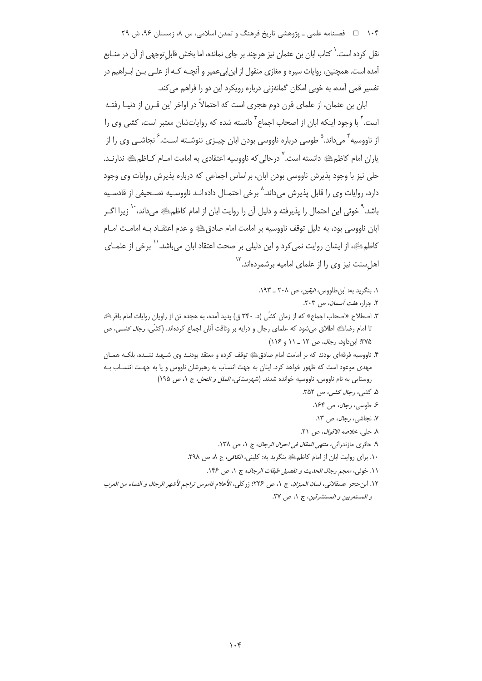۱۰۴ فصلنامه علمی ـ یژوهشی تاریخ فرهنگ و تمدن اسلامی، س ۸، زمستان ۹۶، ش ۲۹

نقل کرده است.<sup>\</sup> کتاب ابان بن عثمان نیز هرچند بر جای نمانده، اما بخش قابل توجهی از آن در منــابع آمده است. همچنین، روایات سپره و مغازی منقول از ابن!بیءمیر و آنچـه کـه از علـی بـن ابـراهیم در تفسیر قمی آمده، به خوبی امکان گمانهزنی درباره رویکرد این دو را فراهم می کند.

ابان بن عثمان، از علمای قرن دوم هجری است که احتمالاً در اواخر این قــرن از دنیـا رفتــه است.<sup>۲</sup> با وجود اینکه ابان از اصحاب اجماع <sup>۳</sup> دانسته شده که روایاتشان معتبر است، کشی وی را از ناووسیه ٔ میداند.<sup>۵</sup> طوسی درباره ناووسی بودن ابان چیـزی ننوشـته اسـت. ٔ نجاشـی وی را از یاران امام کاظمﷺ دانسته است.<sup>۷</sup> درحالی که ناووسیه اعتقادی به امامت امـام کــاظمﷺ ندارنــد. حلی نیز با وجود پذیرش ناووسی بودن ابان، براساس اجماعی که درباره پذیرش روایات وی وجود دارد، روايات وي را قابل پذيرش مي<اند.^ برخي احتمـال داده|نــد ناووسـيه تصــحيفي از قادسـيه باشد. ` خوبًى اين احتمال را يذيرفته و دليل آن را روايت ابان از امام كاظم. ﷺ مى داند، `` زيرا اگــر ابان ناووسی بود، به دلیل توقف ناووسیه بر امامت امام صادقﷺ و عدم اعتقــاد بــه امامــت امــام كاظم ﷺ، از ايشان روايت نمي كرد و اين دليلي بر صحت اعتقاد ابان مي باشد.'<sup>\</sup> برخي از علمـاي اهل سنت نیز وی را از علمای امامیه برشمردهاند.<sup>۱۲</sup>

١. ينگريد به: ابن طاووس، *البقين، ص ٢٠٨ ـ* ١٩٣.

٢. جرار، *هفت آسمان، ص* ٢٠٣.

۴. ناووسیه فرقهای بودند که بر امامت امام صادقﷺ توقف کرده و معتقد بودنـد وی شـهید نشـده، بلکـه همـان مهدی موعود است که ظهور خواهد کرد. اینان به جهت انتساب به رهبرشان ناووس و یا به جهت انتسـاب بـه روستایی به نام ناووس، ناووسیه خوانده شدند. (شهرستانی، *الملل و النحل*، ج ١، ص ١٩٥)

۵. کشی، *رجال کشی، ص ۳*۵۲.

- ع طوسی، رجال، ص ۱۶۴.
- ۷. نجاشی، *رجال*، ص ۱۳.
- ٨. حلي، خلاصه الاقوال، ص ٢١.
- ۹. حائري مازندراني، *منتهي المقال في احوال الرجال*، ج ١، ص ١٣٨.
- ١٠. براي روايت ابان از امام كاظم عليه بنكريد به: كليني، *الكافي*، ج ٨، ص ٢٩٨.
	- ١١. خوئي، معجم رجال الحديث و تفصيل طبقات الرجال، ج ١، ص ١٤٤.
- ١٢. ابن حجر عسقلاني، لس*ان الميزان*، ج ١، ص ٢٢۶؛ زركلي، *الأعلام قاموس تراجم لأشهر الرجال و النساء من العرب* و المستعربين و المستشرقين، ج ١، ص ٢٧.

٣. اصطلاح «اصحاب اجماع» كه از زمان كشّي (د. ٣۴٠ ق) پديد آمده، به هجده تن از راويان روايات امام باقر<sup>ي</sup>، تا امام رضاﷺ اطلاق میشود که علمای رجال و درایه بر وثاقت آنان اجماع کردهاند. (کشّی، *رجال کشـی، ص* ۳۷۵: این داود، *رجال، ص ۱۲ ـ ۱۱* و ۱۱۶)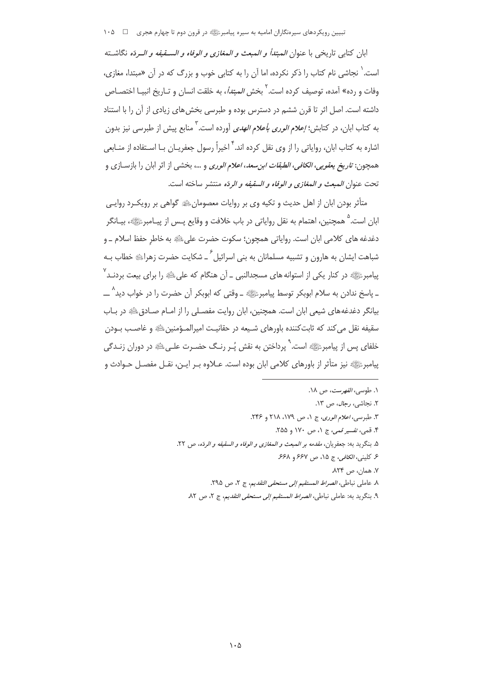تبیین رویکردهای سپرهنگاران امامیه به سپره پیامبرﷺ در قرون دوم تا چهارم هجری \_ □ \_ ۱۰۵

ابان كتابي تاريخي با عنوان *المبتدأ و المبعث و المغازي و الوفاه و الســقيفه و الــ*ردّه نگاشــته است. ٰ نجاشی نام کتاب را ذکر نکرده، اما آن را به کتابی خوب و بزرگ که در آن «مبتدا، مغازی، وفات و رده» آمده، توصیف کرده است.<sup>۲</sup> بخش *المبتدأ*، به خلقت انسان و تـاریخ انبیـا اختصـاص داشته است. اصل اثر تا قرن ششم در دسترس بوده و طبرسی بخش های زیادی از آن را با استناد به كتاب ابان، در كتابش؛ *إعلام الورى بأعلام الهدى* آورده است.<sup>۳</sup> منابع پيش از طبرسى نيز بدون اشاره به کتاب ابان، روایاتی را از وی نقل کرده اند. <sup>۴</sup> اخیراً رسول جعفریـان بـا اسـتفاده از منــاب*عی* همچون: ت*اريخ يعقوبي، الكافي، الطبقات ابن سعد، اعلام الوري* و …، بخشي از اثر ابان را بازسـازي و تحت عنوان *المبعث و المغازى و الوفاه و السقيفه و الر*دّه منتشر ساخته است.

متأثر بودن ابان از اهل حدیث و تکیه وی بر روایات معصومان،ﷺ گواهی بر رویک ِد روایـی ابان است.<sup>۵</sup> همچنین، اهتمام به نقل روایاتی در باب خلافت و وقایع پـس از پیـامبرﷺ، بیـانگر دغدغه هاي كلامي ابان است. رواياتي همچون؛ سكوت حضرت على ﷺ به خاطر حفظ اسلام ــ و شباهت ایشان به هارون و تشبیه مسلمانان به بنی اسرائیل ٔ ـ شکایت حضرت زهرایﷺ خطاب بـه پیامبرﷺ در کنار یکی از استوانه های مسجدالنبی ــ اَن هنگام که علیﷺ را برای بیعت بردنـد<sup>۷</sup> \_ پاسخ ندادن به سلام ابوبکر توسط پیامبرﷺ \_ وقتی که ابوبکر آن حضرت را در خواب دید^ \_\_ بیانگر دغدغههای شیعی ابان است. همچنین، ابان روایت مفصـلی را از امـام صـادق ﷺ در بـاب سقيفه نقل مي كند كه ثابت كننده باورهاي شـيعه در حقانيـت اميرالمـؤمنين ﷺ و غاصـب بـودن خلفای پس از پیامبرﷺ است. ٌ پرداختن به نقش پُـر رنـگ حضـرت علـیﷺ در دوران زنـدگی پیامبرﷺ نیز متأثر از باورهای کلامی ابان بوده است. عــلاوه بـر ایـن، نقــل مفصــل حــوادث و

> ۰. طوسی*، الفهرست*، ص ۱۸. ۲. نحاش*ی، رحال*، ص ۱۳. ٣. طبر سي، اعلام الوري، ج ١، ص ١٧٩، ٢١٨ و ٢۴۶. ۴. قمي، تفسير قمي، ج ۱، ص ۱۷۰ و ۲۵۵. ۵. بنگريد به: جعفريان، *مقدمه بر المبعث و المغازي و الوفاه و السقيفه و الر*دّه، ص ٢٢. ع كليني، الكافي، ج ١٥، ص ۶۶۷ و ۶۶۸. ٧. همان، ص ٨٢۴. ٨. عاملي نباطي، *الصراط المستقيم إلى مستحقى التقديم*، ج ٢، ص ٢٩٥. ٩. بنگريد به: عاملي نباطي، *الصراط المستقيم إلى مستحقى التقديم*، ج ٢، ص ٨٢.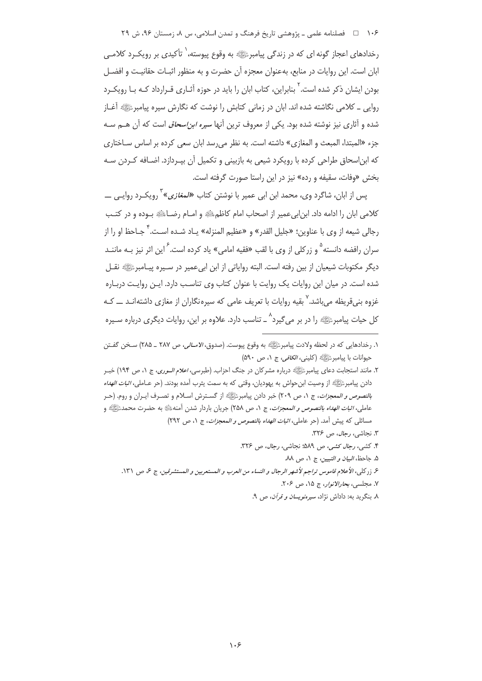۱۰۶ - ۱۰۶ فصلنامه علمی ـ پژوهشی تاریخ فرهنگ و تمدن اسلامی، س ۸، زمستان ۹۶، ش ۲۹

رخدادهای اعجاز گونه ای که در زندگی پیامبرﷺ به وقوع پیوسته،<sup>\</sup> تأکیدی بر رویک رد کلامـی ابان است. این روایات در منابع، به عنوان معجزه آن حضرت و به منظور اثبـات حقانیـت و افضـل بودن ایشان ذکر شده است.' بنابراین، کتاب ابان را باید در حوزه آثـاری قـرارداد کـه بـا رویکـرد روایی \_ کلامی نگاشته شده اند. ابان در زمانی کتابش را نوشت که نگارش سیره پیامبرﷺ آغـاز شده و آثاری نیز نوشته شده بود. یکی از معروف ترین آنها *سیره ابن!سحاق* است که آن هــم ســه جزء «المبتدا، المبعث و المغازي» داشته است. به نظر می رسد ابان سعی کرده بر اساس سـاختاری که ابن|سحاق طراحی کرده با رویکرد شیعی به بازبینی و تکمیل آن بیـردازد. اضـافه کـردن سـه بخش «وفات، سقیفه و رده» نیز در این راستا صورت گرفته است.

پس از ابان، شاگرد وی، محمد ابن ابی عمیر با نوشتن کتاب *«لمغازی»* ٔ رویکـرد روایـی ــــ كلامي ابان را ادامه داد. ابنابي عمير از اصحاب امام كاظم ﷺ و امــام رضـاﷺ بــوده و در كتــب رجالي شيعه از وي با عناوين؛ «جليل القدر» و «عظيم المنزله» يـاد شـده اسـت.<sup>\*</sup> جـاحظ او ,ا از سران رافضه دانسته ٌ و زرکلی از وی با لقب «فقیه امامی» یاد کرده است. َ این اثر نیز بـه ماننــد دیگر مکتوبات شیعیان از بین رفته است. البته روایاتی از این ابی عمیر در سـیره پیـامبرﷺ نقـل شده است. در میان این روایات یک روایت با عنوان کتاب وی تناسب دارد. ایـن روایـت دربـاره غزوه بنے قریظه می باشد.<sup>۷</sup> بقیه روایات با تعریف عامی که سپره نگاران از مغازی داشته انــد ـــ کــه کل حیات پیامبرﷺ را در بر می گیرد^ ــ تناسب دارد. علاوه بر این، روایات دیگری درباره سـیره

۳. نجاشی، رج*ال*، ص ۳۲۶.

- ۴. کشی، رج*ال کشی، ص ۵*۸۹؛ نجاشی، رج*ال*، ص ۳۲۶.
	- ۵. جاحظ، *البيان و التبيين*، ج ١، ص ٨٨.
- ۶ زركلي، الأعلام قاموس تراجم لأشهر الرجال و النساء من العرب و المستعربين و المستشرقين، ج ع ص ١٣١.
	- ٧. مجلسي، بحارالانوار، ج ١۵، ص ٢٠۶.
	- ۸ بنگرید به: داداش نژاد، *سیرهنویسان و قرآن*، ص ۹.

١. رخدادهايي كه در لحظه ولادت پيامبرﷺ به وقوع پيوست. (صدوق، *الامــالي*، ص ٢٨٧ ــ ٢٨۵) سـخن گفــتن حيوانات با پيامبرﷺ (كليني، *الكافي*، ج ١، ص ٥٩٠)

۲. مانند استجابت دعای پیامبرﷺ درباره مشرکان در جنگ احزاب. (طبرسی، *اعلام الــوری*، ج ۱، ص ۱۹۴) خبــر دادن پيامبرﷺ از وصيت ابن حواش به يهوديان، وقتي كه به سمت يثرب آمده بودند. (حر عــاملي، *اثبات الهداه* ب*النصوص و المعجزات*، ج ١، ص ٢٠٩) خبر دادن پيامبرﷺ از گسـترش اسـلام و تصـرف ايـران و روم. (حـر عاملي*، اثبات الهداه بالنصوص و المعجزات*، ج ١، ص ٢٥٨) جريان باردار شدن أمنهﷺ به حضرت محمدﷺ و مسائلي كه پيش أمد. (حر عاملي، *اثبات الهداه بالنصوص و المعجزات*، ج ١، ص ٢٩٢)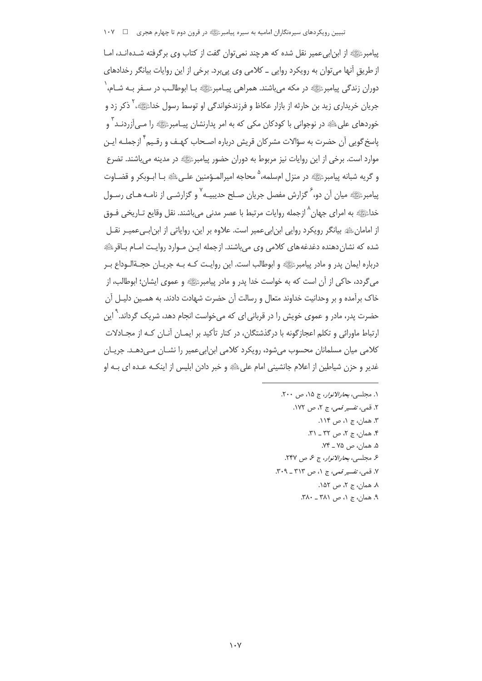پیامبرﷺ از ابن|بی عمیر نقل شده که هرچند نمی توان گفت از کتاب وی برگرفته شـده|نـد، امـا از طریق آنها میتوان به رویکرد روایی ــ کلامی وی پی برد. برخی از این روایات بیانگر رخدادهای دوران زندگی پیامبرﷺ در مکه می باشند. همراهی پیـامبرﷺ بـا ابوطالـب در سـفر بـه شـام، ٰ جريان خريداري زيد بن حارثه از بازار عكاظ و فرزندخواندگي او توسط رسول خداءَﷺ، ` ذكر زد و خوردهای علیﷺ در نوجوانی با کودکان مکی که به امر پدارنشان پیـامبرﷺ را مـی آزردنـد ٌ و یاسخ <sub>گ</sub>ویی آن حضرت به سؤالات مشرکان قریش درباره اصـحاب کهـف و رقـیم <sup>۲</sup> ازجملـه ایـن موارد است. برخی از این روایات نیز مربوط به دوران حضور پیامبرﷺ در مدینه می،باشند. تضرع و گريه شبانه پيامبرﷺ در منزل امسلمه، ° محاجه اميرالمـؤمنين علـيﷺ بـا ابـوبكر و قضـاوت پیامبرﷺ میان آن دو،<sup>7</sup> گزارش مفصل جریان صـلح حدیبیـه<sup>٧</sup> و گزارشـي از نامـه هـاي رسـول خداﷺ به امرای جهان^ازجمله روایات مرتبط با عصر مدنی میباشند. نقل وقایع تـاریخی فــوق از امامانﷺ بیانگر رویکرد روایی ابن|بیءمیر است. علاوه بر این، روایاتی از ابن|بےعمیـر نقـل شده که نشان دهنده دغدغههای کلامی وی میباشند. ازجمله ایـن مـوارد روایـت امـام بـاقرﷺ درباره ايمان پدر و مادر پيامبرﷺ و ابوطالب است. اين روايـت كـه بـه جريـان حجـةالـوداع بـر می گردد، حاکی از آن است که به خواست خدا پدر و مادر پیامبرﷺ و عموی ایشان؛ ابوطالب، از خاک برآمده و بر وحدانیت خداوند متعال و رسالت آن حضرت شهادت دادند. به همـین دلیـل آن حضرت پدر، مادر و عموی خویش را در قربانی ای که میخواست انجام دهد، شریک گرداند.<sup>۹</sup> این ارتباط ماورائی و تکلم اعجازگونه با درگذشتگان، در کنار تأکید بر ایمـان آنـان کـه از محـادلات کلامی میان مسلمانان محسوب می شود، رویکرد کلامی ابن ابی عمیر را نشــان مــی دهــد. جریــان غدير و حزن شياطين از اعلام جانشيني امام على ﷺ و خبر دادن ابليس از اينكــه عــده اي بــه او

> ١. مجلسي، بحارالانوار، ج ١۵، ص ٢٠٠. ٢. قمي، تفسير قمي، ج ٢، ص ١٧٢. ۳. همان، ج ۱، ص ۱۱۴. ۴. همان، ج ۲، ص ۳۲ ـ ۳۱. ۵. همان، ص ۷۵ \_ ۷۴. ع مجلسي، بجارالانوار، ج ع، ص ٢۴٧. ٧. قمي، تفسير قمي، ج ١، ص ٣١٣ ـ ٣٠٩. ٨. همان، ج ٢، ص ١۵٢. ۹. همان، ج ۱، ص ۳۸۱ ـ ۳۸۰.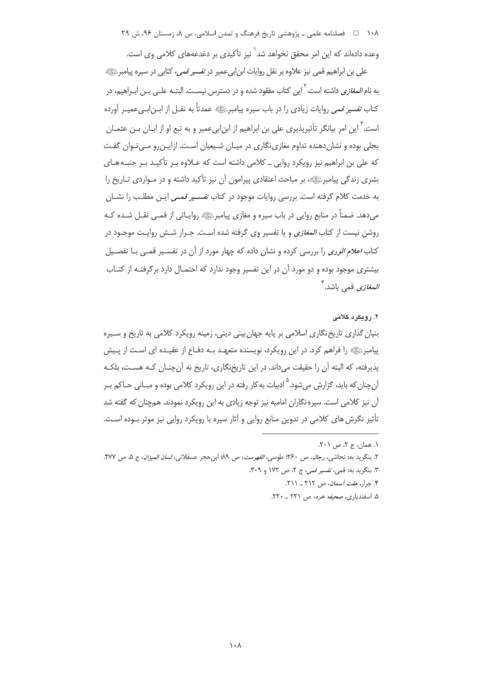۱۰۸ = هلسنامه علمی ـ پژوهشی تاریخ فرهنگ و تمدن اسلامی، س ۸، زمستان ۹۶، ش ۲۹

وعده دادهاند که این امر محقق نخواهد شد<sup>\</sup> نیز تأکیدی بر دغدغههای کلامی وی است.

علی بن ابراهیم قمی نیز علاوه بر نقل روایات ابن|بیعمیر در *تفسیر قمی*، کتابی در سیره پیامبرﷺ به نام *المغازی* داشته است. <sup>۱</sup> این کتاب مفقود شده و در دسترس نیسـت. البتــه علــی بــن ابــراهیم، در كتاب ت*فسير قمي* روايات زيادي را در باب سيره پيامبرﷺ عمدتاً به نقــل از ابــن|بــيءميــر أورده است.<sup>۳</sup> این امر بیانگر تأثیرپذیری علی بن ابراهیم از ابن|بیءمیر و به تبع او از ابــان بــن عثمــان بجلی بوده و نشان دهنده تداوم مغازی نگاری در میـان شـیعیان اسـت. ازایـن٫رو مـی تـوان گفـت که علی بن ابراهیم نیز رویکرد روایی ــ کلامی داشته است که عــلاوه بــر تأکیــد بــر جنبــه هــای بشری زندگی پیامبرﷺ، بر مباحث اعتقادی پیرامون آن نیز تأکید داشته و در مـواردی تـاریخ را به خدمت کلام گرفته است. بررسی روایات موجود در کتاب *تفسـیر قمـی ا*یـن مطلـب را نشــان می دهد. ضمناً در منابع روایی در باب سیره و مغازی پیامبرﷺ روایـاتی از قمـی نقـل شـده کـه روشن نیست از کتاب *المغازی* و یا تفسیر وی گرفته شده است. جـرار شـش روایـت موجـود در کتاب *اعلام الوری* را بررسی کرده و نشان داده که چهار مورد از آن در تفسیر قمبی بـا تفصـیل بیشتری موجود بوده و دو مورد آن در این تفسیر وجود ندارد که احتمـال دارد برگرفتـه از کتـاب *المغازي* قمي باشد.<sup>۴</sup>

## ۲. رویکرد کلامی

بنیان گذاری تاریخ نگاری اسلامی بر پایه جهان بینی دینی، زمینه رویکرد کلامی به تاریخ و سـیره پیامبرﷺ را فراهم کرد. در این رویکرد، نویسنده متعهـد بـه دفـاع از عقیـده ای اسـت از پـیش يذيرفته، كه البته آن را حقيقت مي داند. در اين تاريخنگاري، تاريخ نه آن چنــان كــه هســت، بلكــه آن چنان که باید، گزارش می شود.<sup>۵</sup> ادبیات به کار رفته در این رویکرد کلامی بوده و مبـانی حـاکم بـر آن نیز کلامی است. سیره نگاران امامیه نیز توجه زیادی به این رویکرد نمودند. همچنان که گفته شد تأثیر نگرش های کلامی در تدوین منابع روایی و آثار سیره با رویکرد روایی نیز موثر بـوده اسـت.

- ۴. جرار، *هفت آسمان، ص ۲۱۲ \_ ۲۱۱.*
- ۵. اسفندیاری، صحیفه خرد، ص ۲۲۱ \_ ۲۲۰.

١. همان، ج ٢، ص ٢٠١.

٢. بنگريد به: نجاشي، رجال، ص ٢۶٠؛ طوسي، *الفهرست*، ص ٩٩؛ ابن حجر عسقلاني، *لسان الميزان*، ج ۵، ص ٣٧٧. ٣. بنگريد به: قمي، تفسير قمي، ج ٢، ص ١٧٢ و ٣٠٩.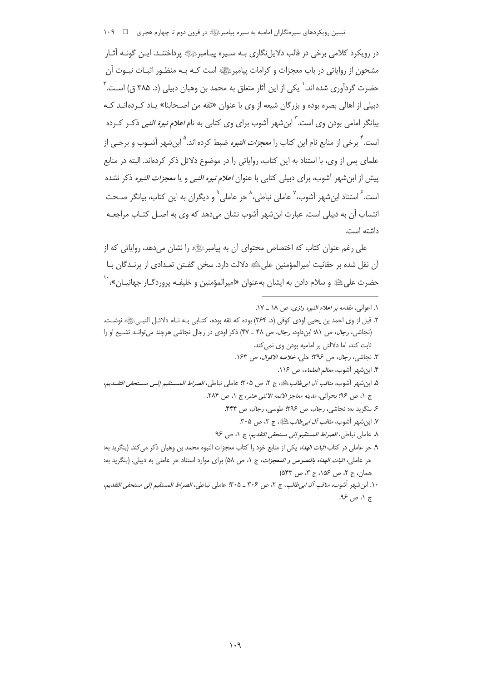تبیین رویکردهای سیرهنگاران امامیه به سیره پیامبرﷺ در قرون دوم تا چهارم هجری \_\_ 1۰۹

در رویکرد کلامی برخی در قالب دلایل نگاری بـه سـیره پیـامبرﷺ پرداختنـد. ایـن گونـه آثـار مشحون از روایاتی در باب معجزات و کرامات پیامبرﷺ است کـه بـه منظـور اثبـات نبـوت آن حضرت گردآوری شده اند.` یکی از این آثار متعلق به محمد بن وهبان دبیلی (د. ۳۸۵ ق) اسـت.` دبیلی از اهالی بصره بوده و بزرگان شیعه از وی با عنوان «ثقه من اصـحابنا» یـاد کـردهانـد کـه بیانگر امامی بودن وی است.<sup>۳</sup> ابنشهر آشوب برای وی کتابی به نام *اعلام نبوة النبی* ذکـر کـرده است. <sup>۴</sup> برخی از منابع نام این کتاب را *معجزات النبو*ء ضبط کرده اند.<sup>۵</sup> این شهر آشـوب و برخـی از علمای پس از وی، با استناد به این کتاب، روایاتی را در موضوع دلائل ذکر کردهاند. البته در منابع پیش از ابن شهر آشوب، برای دبیلی کتابی با عنوان *اعلام نبوه النبی* و یا *معجزات النبوه* ذکر نشده است. <sup>۶</sup> استناد ابن شهر آشوب، <sup>۷</sup> عاملی نباطی، <sup>۸</sup> حر عاملی <sup>۹</sup> و دیگران به این کتاب، بیانگر صـحت انتساب آن به دبیلی است. عبارت ابنشهر آشوب نشان میدهد که وی به اصـل کتـاب مراجعـه داشته است.

علی رغم عنوان کتاب که اختصاص محتوای آن به پیامبرﷺ را نشان می دهد، روایاتی که از آن نقل شده بر حقانیت امیرالمؤمنین علی،ﷺ دلالت دارد. سخن گفـتن تعـدادی از پرنـدگان بـا حضرت على عله و سلام دادن به ايشان به عنوان «اميرالمؤمنين و خليفـه پروردگـار جهانيـان»، ``

- ١. اعواني، *مقدمه بر اعلام النبوه رازي*، ص ١٨ \_ ١٧.
- ٢. قبل از وي احمد بن يحيى اودي كوفي (د. ٢۶۴) بوده كه ثقه بوده، كتـابي بـه نـام دلائـل النبـيﷺ نوشـت. (نجاشی، رجال، ص ٨١؛ ابن داود، رجال، ص ۴٨ \_ ۴٧) ذكر اودى در رجال نجاشى هرچند مى تواند تشيع او را ثابت کند، اما دلالتی بر امامیه بودن وی نمی کند.
	- ٣. نجاشي، رجال، ص ٣٩۶؛ حلي، خلاصه الاقوال، ص ١۶٣.
		- ۴. ابن شهر آشوب، *معالم العلماء*، ص ۱۱۶.
- ۵. ابن شهر أشوب، *مناقب آل ابي طالب ملتَّاهِ*، ج ٢، ص ٣٠۵؛ عاملي نباطي، *الصراط المســتقيم إلــي مســتحقي التقــدي*م، ج ١، ص ٩٤؛ بحراني، مدينه معاجز الائمه الاثنى عشر، ج ١، ص ٢٨٤.
	- ۶. بنگرید به: نجاشی، رجال، ص ۳۹۶: طوسی، رجال، ص ۴۴۴.
	- ٧. ابن شهر آشوب، *مناقب آل ابي طالب عاطيَّةِ*، ج ٢، ص ٣٠۵.
	- ٨. عاملي نباطي، *الصراط المستقيم إلى مستحقى التقديم*، ج ١، ص ٩۶
- ۹. حر عاملی در کتاب *اثبات الهداه* یکی از منابع خود را کتاب معجزات النبوه محمد بن وهبان ذکر می کند. (بنگرید به: حر عاملي، *اثبات الهداه بالنصوص و المعجزات*، ج ١، ص ٥٨) براي موارد استناد حر عاملي به دبيلي. (بنگريد به: همان، ج ٢، ص ١۵۶، ج ٣، ص ٥۴٣)
- ١٠. ابن شهر أشوب، *مناقب آل ابي طالب*، ج ٢، ص ٣٠٤ \_ ٣٠٥: عاملي نباطي، *الصراط المستقيم إلى مستحقى التقدي*م، ج ۱، ص ۹۶.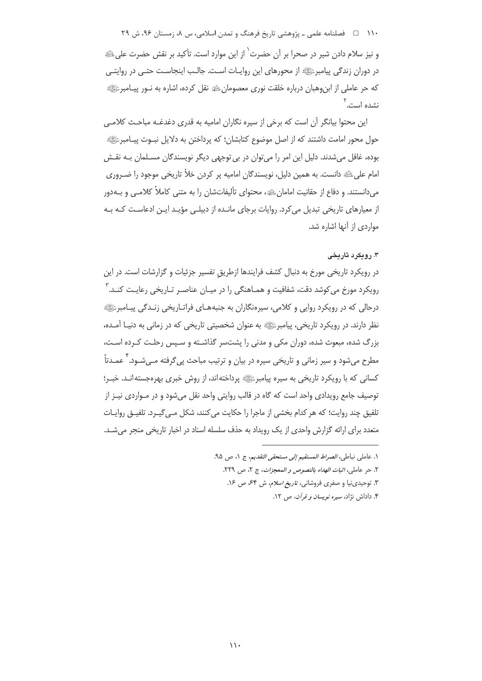۱۱۰ فصلنامه علمی ـ پژوهشی تاریخ فرهنگ و تمدن اسلامی، س ۸، زمستان ۹۶، ش ۲۹

و نيز سلام دادن شير در صحرا بر آن حضرت<sup>\</sup> از اين موارد است. تأكيد بر نقش حضرت على ﷺ در دوران زندگی پیامبرﷺ از محورهای این روایـات اسـت. جالـب اینجاسـت حتـی در روایتـی که حر عاملی از ابن,وهبان درباره خلقت نوری معصومانﷺ نقل کرده، اشاره به نــور پیــامبرﷺ نشده است.<sup>۲</sup>

این محتوا بیانگر آن است که برخی از سیره نگاران امامیه به قدری دغدغـه مباحـث کلامـی حول محور امامت داشتند که از اصل موضوع کتابشان؛ که پرداختن به دلایل نبـوت پیـامبرﷺ بوده، غافل میشدند. دلیل این امر را میتوان در بی توجهی دیگر نویسندگان مسلمان بـه نقش امام علی ﷺ دانست. به همین دلیل، نویسندگان امامیه پر کردن خلاً تاریخی موجود را ضـروری می دانستند. و دفاع از حقانیت امامان ﷺ، محتوای تألیفاتشان را به متنی کاملاً کلامـی و بـهدور از معیارهای تاریخی تبدیل می کرد. روایات برجای مانـده از دبیلـی مؤیـد ایـن ادعاسـت کـه بـه مواردی از آنها اشاره شد.

# ۰۳ روبکرد تاریخی

در رویکرد تاریخی مورخ به دنبال کشف فرایندها ازطریق تفسیر جزئیات و گزارشات است. در این رویکرد مورخ میکوشد دقت، شفافیت و همـاهنگی را در میـان عناصـر تـاریخی رعایـت کنـد. آ درحالی که در رویکرد روایی و کلامی، سیرهنگاران به جنبههـای فراتـاریخی زنـدگی پیـامبرﷺ نظر دارند. در رویکرد تاریخی، پیامبرﷺ به عنوان شخصیتی تاریخی که در زمانی به دنیـا آمـده، بزرگ شده، مبعوث شده، دوران مکی و مدنی را پشتسر گذاشته و سپس رحلت کرده است، مطرح می شود و سیر زمانی و تاریخی سیره در بیان و ترتیب مباحث یی گرفته مـی شـود. <sup>۲</sup> عمـدتاً کسانی که با رویکرد تاریخی به سپره پیامبرﷺ پرداخته اند، از روش خبری بهرهجسته انـد. خبـر؛ توصيف جامع رويدادي واحد است كه گاه در قالب روايتي واحد نقل مي شود و در مـواردي نيـز از تلفيق چند روايت؛ كه هر كدام بخشي از ماجرا را حكايت مي كنند، شكل مـي گيـرد. تلفيـق روايـات متعدد برای ارائه گزارش واحدی از یک رویداد به حذف سلسله اسناد در اخبار تاریخی منجر می شـد.

- ١. عاملي نياطي، *الصراط المستقيم إلى مستحقي التقديم*، ج ١، ص ٩٥.
	- ٢. حر عاملي، *اثبات الهداه بالنصوص و المعجزات*، ج ٢، ص ٢٢٩.
	- ٣. توجيدي نيا و صفري فروشاني، *تاريخ اسلام*، ش ٤٤ ص ١٤.
		- ۴. داداش نژاد، *سیره نویسان و قرآن*، ص ۱۲.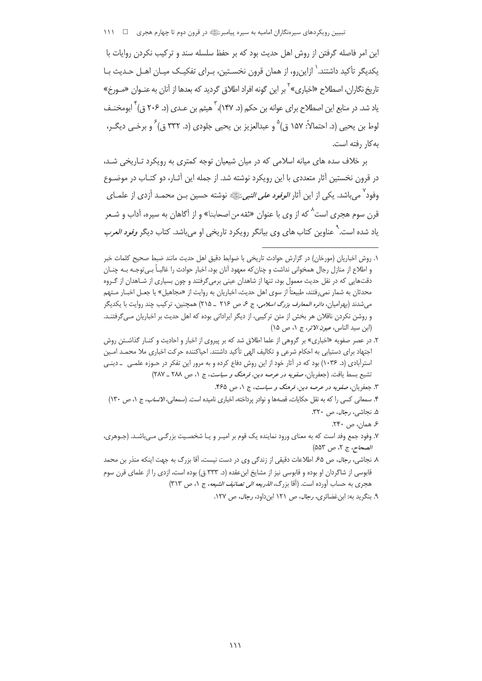تبیین رویکردهای سپرەنگاران امامیه به سپره پیامبرﷺ در قرون دوم تا چهارم هجری □ ١١١

این امر فاصله گرفتن از روش اهل حدیث بود که بر حفظ سلسله سند و ترکیب نکردن روایات با یکدیگر تأکید داشتند. ٰ ازاین٫رو، از همان قرون نخسـتین، بـرای تفکیـک میـان اهـل حـدیث بـا تاریخ نگاران، اصطلاح «اخباری» <sup>۲</sup> بر این گونه افراد اطلاق گردید که بعدها از آنان به عنــوان «مــورخ» یاد شد. در منابع این اصطلاح برای عوانه بن حکم (د. ۱۴۷)، <sup>۲</sup> هیثم بن عـدی (د. ۲۰۶ ق) <sup>۲</sup> ابومخنـف لوط بن يحيى (د. احتمالاً: ١۵٧ ق) ۠ و عبدالعزيز بن يحيى جلودي (د. ٣٣٢ ق) َ و برخـي ديگـر، به کار رفته است.

بر خلاف سده های میانه اسلامی که در میان شیعیان توجه کمتری به رویکرد تـاریخی شـد، در قرون نخستین آثار متعددی با این رویکرد نوشته شد. از جمله این آثـار، دو کتـاب در موضــوع وفود<sup>۷</sup> می<sub>،</sub>باشد. یکی از این آثار *الوفود علی النبی*ءﷺ نوشته حسین بـن محمـد أزدی از علمـای قرن سوم هجری است<sup>^</sup> که از وی با عنوان «ثقه من اصحابنا» و از آگاهان به سیره، آداب و شـعر یاد شده است.<sup>\</sup> عناوین کتاب های وی بیانگر رویکرد تاریخی او میباشد. کتاب دیگر *وفود العرب* 

- ۳. جعفریان، صف*ویه در عرصه دین، فرهنگ و سیاست*، ج ۱، ص ۴۶۵.
- ۴. سمعانی کسی را که به نقل حکایات، قصهها و نوادر پرداخته، اخباری نامیده است. (سمعانی، *الانساب، ج* ۱، ص ۱۳۰)
	- ۵. نجاشی، رجال، ص ۳۲۰.
		- ۶. همان، ص ۲۴۰.

١. روش اخباريان (مورخان) در گزارش حوادث تاريخي با ضوابط دقيق اهل حديث مانند ضبط صحيح كلمات خبر و اطلاع از منازل رجال همخوانی نداشت و چنان که معهود آنان بود، اخبار حوادث را غالبـاً بـی توجـه بـه چنــان دقتهایی که در نقل حدیث معمول بود، تنها از شاهدان عینی برمیگرفتند و چون بسیاری از شـاهدان از گـروه محدثان به شمار نمی,رفتند، طبیعتاً از سوی اهل حدیث، اخباریان به روایت از «مجاهیل» یا ج*ع*ـل اخبــار مــتهم می شدند (بهرامیان، *دائره المعارف بزرگ اسلامی*، ج ع ص ٢١۶ \_ ٢١۵) همچنین، ترکیب چند روایت با یکدیگر و روشن نكردن ناقلان هر بخش از متن تركيبي، از ديگر ايراداتي بوده كه اهل حديث بر اخباريان مـي¢فتنـد. (ابن سيد الناس، *عيون الاثر،* ج ١، ص ١٥)

۲. در عصر صفویه «اخباری» بر گروهی از علما اطلاق شد که بر پیروی از اخبار و احادیث و کنـار گذاشـتن روش اجتهاد برای دستیابی به احکام شرعی و تکالیف الهی تأکید داشتند. احیاکننده حرکت اخباری ملا محمـد امـین استرآبادی (د. ۱۰۳۶) بود که در آثار خود از این روش دفاع کرده و به مرور این تفکر در حـوزه علمـی \_ دینـی تشبع بسط یافت. (جعفریان، صفویه در عرصه دین، فرهنگ و سیاست، ج ١، ص ٢٨٨ \_ ٢٨٧)

۷. وفود جمع وفد است که به معنای ورود نماینده یک قوم بر امیـر و یـا شخصـیت بزرگـی مـیLباشـد. (جـوهری، الصحاح، ج ٢، ص ٥٥٣)

٨. نجاشی، *رجال*، ص ۶۵. اطلاعات دقیقی از زندگی وی در دست نیست، آقا بزرگ به جهت اینکه منذر بن محمد قابوسی از شاگردان او بوده و قابوسی نیز از مشایخ ابنءقده (د. ۳۳۳ ق) بوده است، ازدی را از علمای قرن سوم هجري به حساب أورده است. (أقا بزرگ، *الذريعه الى تصانيف الشيعه*، ج ١، ص ٣١٣)

۹. بنگرید به: ابن غضائری، *رجال*، ص ۱۲۱ ابنداود، *رجال*، ص ۱۲۷.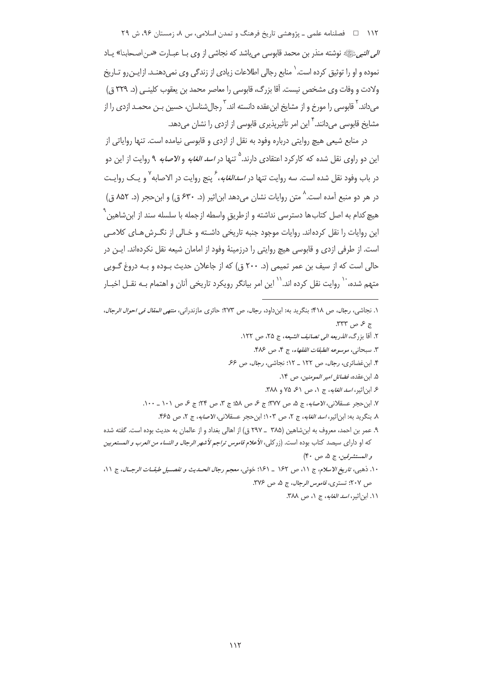۱۱۲ □ فصلنامه علمي ـ پژوهشي تاريخ فرهنگ و تمدن اسلامي، س ٨، زمستان ۹۶، ش ۲۹ *الي النبي* ﷺ نوشته منذر بن محمد قابوسي مي باشد كه نجاشي از وي بـا عبـارت «مـن اصـحابنا» يـاد نموده و او را توثیق کرده است. ` منابع رجالی اطلاعات زیادی از زندگی وی نمی دهنـد. ازایـن رو تـاریخ ولادت و وفات وى مشخص نيست. آقا بزرگ، قابوسى را معاصر محمد بن يعقوب كلينـي (د. ٣٢٩ ق) میداند. <sup>۲</sup> قابوسی را مورخ و از مشایخ ابن عقده دانسته اند. <sup>۲</sup> رجال شناسان، حسین بـن محمـد ازدی را از مشایخ قابوسی می دانند. <sup>۴</sup> این امر تأثیریذیری قابوسی از ازدی را نشان می دهد.

در منابع شیعی هیچ روایتی درباره وفود به نقل از ازدی و قابوسی نیامده است. تنها روایاتی از این دو راوی نقل شده که کارکرد اعتقادی دارند.<sup>۵</sup> تنها در *اسد الغابه* و *الاصابه* ۹ روایت از این دو در باب وفود نقل شده است. سه روایت تنها در *اسدالغابه*، گنج روایت در الاصابه<sup>۷</sup> و یـک روایـت در هر دو منبع آمده است. ^ متن روایات نشان می دهد این اثیر (د. ۶۳۰ ق) و این حجر (د. ۸۵۲ ق) هیچ کدام به اصل کتابها دسترسی نداشته و ازطریق واسطه ازجمله با سلسله سند از ابن شاهین<sup>۹</sup> این روایات را نقل کردهاند. روایات موجود جنبه تاریخی داشـته و خـالی از نگـرش هـای کلامـی است. از طرفی ازدی و قابوسی هیچ روایتی را درزمینهٔ وفود از امامان شیعه نقل نکردهاند. ایـن در حالي است كه از سيف بن عمر تميمي (د. ٢٠٠ ق) كه از جاعلان حديث بــوده و بــه دروغ گــويي متهم شده، `` روایت نقل کرده اند.`` این امر بیانگر رویکرد تاریخی آنان و اهتمام بـه نقــل اخبــار

- ١. نجاشي، رجال، ص ٤١٨؛ بنگريد به: ابنداود، رجال، ص ٢٧٣؛ حائري مازندراني، *منتهي المقال في احوال الرجال*،  $.777$  ص  $\sim$ 
	- ٢. آقا بزرگ، *الذريعه الى تصانيف الشيعه*، ج ٢۵، ص ١٢٢.
		- ٣. سبحاني، موسوعه الطبقات الفقهاء، ج ۴، ص ٣٨۶.
	- ۴. ابن غضائری، رجال، ص ١٢٢ \_ ١٢: نجاشی، رجال، ص ۶۶.
		- ۵. ابن عقده، فضائل امير المومنين، ص ١۴.
		- ۶ ابن اثیر، اسد الغابه، ج ١، ص ۶۱، ۲۵ و ۳۸۸.
	- ٧. ابن حجر عسقلاني، *الأصابه*، ج ۵، ص ٣٧٧: ج ۶، ص ۵۸؛ ج ٣، ص ٢٢: ج ۶، ص ١٠١ \_ ١٠٠.
		- ٨. بنگريد به: ابن اثير، *اسد الغابه*، ج ٢، ص ١٠٣؛ ابن حجر عسقلاني، *الاصابه*، ج ٢، ص ۴۶۵.
- ۹. عمر بن احمد، معروف به ابن شاهين (۳۸۵ \_ ۲۹۷ ق) از اهالي بغداد و از عالمان به حديث بوده است. گفته شده كه او داراي سيصد كتاب بوده است. (زركلي، *الأعلام قاموس تراجم لأشهر الرجال و النساء من العرب و ال*مستعربين و المستشرقين، ج ۵، ص ۴۰)
- ١٠. ذهبي، تاريخ الاسلام، ج ١١، ص ١۶٢ \_ ١٤١؛ خوتي، معجم رجال الحسديث و تفصيل طبقــات الرجــال، ج ١١، ص ٢٠٧؛ تستري، قاموس الرجال، ج ٥، ص ٣٧٤.
	- ١١. ابن اثير، *اسد الغابه*، ج ١، ص ٣٨٨.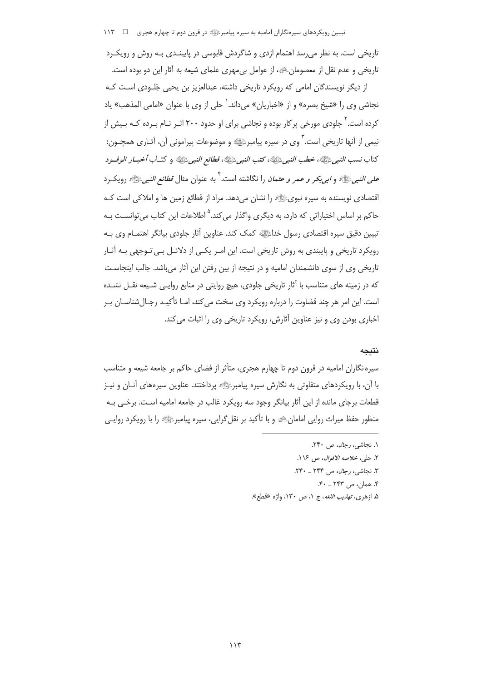تاریخی است. به نظر می رسد اهتمام ازدی و شاگردش قابوسی در پایبنـدی بـه روش و رویکـرد تاریخی و عدم نقل از معصومانﷺ، از عوامل بی مهری علمای شیعه به آثار این دو بوده است.

از دیگر نویسندگان امامی که رویکرد تاریخی داشته، عبدالعزیز بن یحیی جَلـودی اسـت کـه نجاشي وي را «شيخ بصره» و از «اخباريان» مي داند. ` حلي از وي با عنوان «امامي المذهب» ياد کرده است.<sup>۲</sup> جلودی مورخی پرکار بوده و نجاشی برای او حدود ۲۰۰ اثـر نـام بـرده کـه بـیش از نیمی از آنها تاریخی است. <sup>۳</sup> وی در سیره پیامبرﷺ و موضوعات پیرامونی آن، آثـاری همچــون: كتاب نسب النبي ﷺ، خطب النبي ﷺ، كتب النبي ﷺ، قطائع النبي ﷺ و كتـاب أخبـار الوفـود *على النبي ﷺ* و *ابي بكر و عمر و عثمان* را نگاشته است. <sup>1</sup> به عنوان مثال *قطائع النبي*ﷺ رويك د اقتصادی نویسنده به سیره نبویﷺ را نشان می دهد. مراد از قطائع زمین ها و املاکی است کـه حاکم بر اساس اختیاراتی که دارد، به دیگری واگذار میکند.<sup>۵</sup> اطلاعات این کتاب م<sub>، </sub>توانسـت بـه تبیین دقیق سپره اقتصادی رسول خداءًﷺ کمک کند. عناوین آثار جلودی بیانگر اهتمـام وی بـه رویکرد تاریخی و پایبندی به روش تاریخی است. این امـر یکـی از دلائـل بـی تـوجهی بـه آثـار تاریخی وی از سوی دانشمندان امامیه و در نتیجه از بین رفتن این آثار میباشد. جالب اینجاست که در زمینه های متناسب با آثار تاریخی جلودی، هیچ روایتی در منابع روایـی شـیعه نقـل نشـده است. این امر هر چند قضاوت را درباره رویکرد وی سخت می کند، امـا تأکیـد رجـال شناسـان بـر اخباري بودن وي و نيز عناوين آثارش، رويكرد تاريخي وي را اثبات مي كند.

## نتىحە

سیره نگاران امامیه در قرون دوم تا چهارم هجری، متأثر از فضای حاکم بر جامعه شیعه و متناسب با آن، با رویکردهای متفاوتی به نگارش سیره پیامبرﷺ پرداختند. عناوین سپرههای آنــان و نیــز قطعات برجای مانده از این آثار بیانگر وجود سه رویکرد غالب در جامعه امامیه است. برخـی بـه منظور حفظ میراث روایی امامان،ﷺ و با تأکید بر نقل گرایی، سپره پیامبرﷺ را با رویکرد روایـی

۵. ازهري، *تهذيب اللغه*، ج ١، ص ١٣٠، واژه «قطع».

١. نحاشي، رحال، ص ٢۴٠.

٢. حلي، خلاصه الاقوال، ص ١١۶.

٣. نجاشي، رجال، ص ٢۴۴ \_ ٢۴٠.

۴. همان، ص ۲۴۳ ـ ۴۰.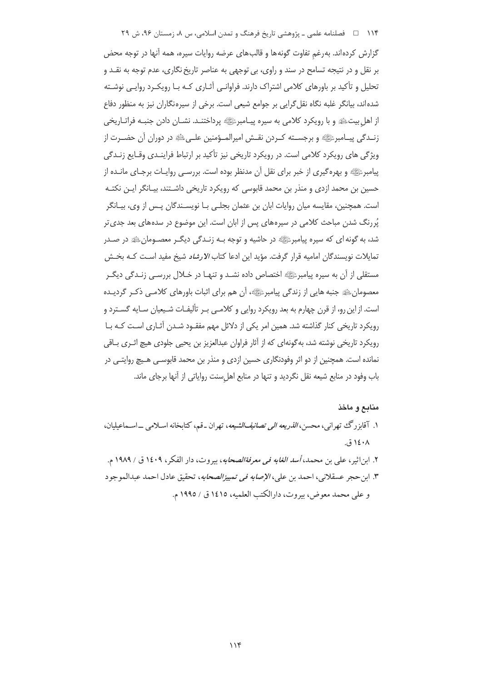۱۱۴ فصلنامه علمی ـ پژوهشی تاریخ فرهنگ و تمدن اسلامی، س ۸، زمستان ۹۶، ش ۲۹

گزارش کردهاند. بهرغم تفاوت گونهها و قالبهای عرضه روایات سپره، همه آنها در توجه محض بر نقل و در نتیجه تسامح در سند و راوی، بی توجهی به عناصر تاریخ نگاری، عدم توجه به نقـد و تحلیل و تأکید بر باورهای کلامی اشتراک دارند. فراوانبی آثـاری کـه بـا رویکـرد روایـی نوشـته شده اند، بیانگر غلبه نگاه نقل گرایی بر جوامع شیعی است. برخی از سپره نگاران نیز به منظور دفاع از اهل بیتﷺ و با رویکرد کلامی به سیره پیـامبرﷺ پرداختنـد. نشــان دادن جنبـه فراتـاریخی زنــدگي پيــامبرﷺ و برجســته كــردن نقــش امپرالمــؤمنين علــيﷺ در دوران آن حضــرت از ویژگی های رویکرد کلامی است. در رویکرد تاریخی نیز تأکید بر ارتباط فراینـدی وقـایع زنـدگی پیامبرﷺ و بهره گیری از خبر برای نقل آن مدنظر بوده است. بررسـی روایـات برجـای مانــده از حسین بن محمد ازدی و منذر بن محمد قابوسی که رویکرد تاریخی داشـتند، بیـانگر ایـن نکتـه است. همچنین، مقایسه میان روایات ابان بن عثمان بجلبی بـا نویسـندگان پـس از وی، بیـانگر پُررنگ شدن مباحث کلامی در سیرههای پس از ابان است. این موضوع در سدههای بعد جدی تر شد، به گونه ای که سیره پیامبرﷺ در حاشیه و توجه بـه زنـدگی دیگـر معصـومانﷺ در صـدر تمايلات نويسندگان اماميه قرار گرفت. مؤيد اين ادعا كتاب *الارشاد* شيخ مفيد اسـت كـه بخـش مستقلی از آن به سیره پیامبرﷺ اختصاص داده نشـد و تنهـا در خـلال بررسـی زنـدگی دیگـر معصومان ﷺ جنبه هایی از زندگی پیامبرﷺ، آن هم برای اثبات باورهای کلامبی ذکـر گردیـده است. از این رو، از قرن چهارم به بعد رویکرد روایی و کلامـی بـر تألیفـات شـیعیان سـایه گسـترد و رویکرد تاریخی کنار گذاشته شد. همین امر یکی از دلائل مهم مفقـود شـدن آثـاری اسـت کـه بـا رویکرد تاریخی نوشته شد، به گونهای که از آثار فراوان عبدالعزیز بن یحیی جلودی هیچ اثـری بــاقی نمانده است. همچنین از دو اثر وفودنگاری حسین ازدی و منذر بن محمد قابوسـی هـیچ روایتـی در باب وفود در منابع شیعه نقل نگردید و تنها در منابع اهلسنت روایاتی از آنها برجای ماند.

#### منابع و ماخذ

- ۱. آقابزرگ تهرانبی، محسن، *الذریعه الی تصانیفالشیعه*، تهران ـ قم، کتابخانه اسـلامبی ــ اســماعیلیان، ۱٤٠٨ ق.
- ٢. ابن اثير ، علي بن محمد، *أسد الغابه في معرفةالصحاب*ه، بيروت، دار الفكر ، ١٤٠٩ ق / ١٩٨٩ م. ٣. ابن حجر عسقلاني، احمد بن علي، *الإصابه في تمييزالصحابه*، تحقيق عادل احمد عبدالموجود و على محمد معوض، بيروت، دارالكتب العلميه، ١٤١٥ ق / ١٩٩٥ م.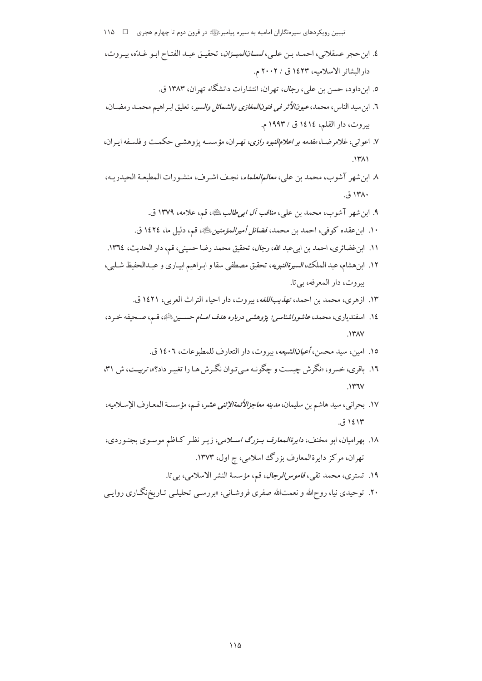تبیین رویکردهای سیرهنگاران امامیه به سیره پیامبرﷺ در قرون دوم تا چهارم هجری ه عام ۱۱۵

- ٤. ابن حجر عسقلاني، احمـد بـن علـي، لســ*انالميــزان*، تحقيـق عبـد الفتـاح ابـو غـدّه، بيـروت، دارالبشائر الاسلاميه، ١٤٢٣ ق / ٢٠٠٢ م.
	- ٥. ابنداود، حسن بن علي، *رجال*، تهران، انتشارات دانشگاه تهران، ١٣٨٣ ق.
- ٦. ابن سيد الناس، محمد، *عيونالأثر في فنونالمغازي والشمائل والسير*، تعليق ابـراهيم محمـد رمضـان، بيروت، دار القلم، ١٤١٤ ق / ١٩٩٣ م.
- ۷. اعوانی، غلامرضـا، *مقدمه بر اعلامالنبوه رازی*، تهـران، مؤسسـه پژوهشـی حکمـت و فلسـفه ايـران،  $.1411$
- ٨. ابن شهر آشوب، محمد بن علي، *معالمالعلماء*، نجف اشـرف، منشـورات المطبعـة الحيدريـه،  $.514\lambda$ 
	- ۹. ابن شهر آشوب، محمد بن علي، *مناقب آل اب<sub>ح</sub>طالب عليه*، قم، علامه، ۱۳۷۹ ق.
	- ١٠. ابن عقده كوفي، احمد بن محمد، *فضائل أميرالمؤمنين* ﷺ، قم، دليل ما، ١٤٢٤ ق.
- ١١. ابن غضائري، احمد بن ابيعبد الله، رجال، تحقيق محمد رضا حسيني، قم، دار الحديث، ١٣٦٤.
- ١٢. ابن هشام، عبد الملك، *السيرةالنبويه*، تحقيق مصطفى سقا و ابـراهيم ابيـاري و عبـدالحفيظ شـلبي، بيروت، دار المعرفه، بي تا.
	- ١٣. ازهري، محمد بن احمد، *تهذيب اللغه*، بيروت، دار احياء التراث العربي، ١٤٢١ ق.
- ١٤. اسفندياري، محمد، ع*اشوراشناسي؛ پژوهشي درباره هدف امــام حســين* ﷺ، قـم، صـحيفه خـرد،  $\lambda Y \lambda V$ 
	- ١٥. امين، سيد محسن، *أعيان الشيعه*، بيروت، دار التعارف للمطبوعات، ١٤٠٦ ق.
- ۱۶. باقری، خسرو، «نگرش چیست و چگونـه مـی تـوان نگـرش هـا را تغییـر داد؟»، تربیـت، ش ۳۱،  $144V$
- ١٧. بحراني، سيد هاشم بن سليمان، *مدينه معاجزالأنمةالإثني عشر*، قـم، مؤسسـة المعـارف الإسـلاميه، ۱٤۱۳ ق.
- ۱۸. بهرامیان، ابو مخنف، *دایرةالمعارف بـزرگ اسـلامی*، زیـر نظـر کـاظم موسـوی بجنـوردی، تھران، مرکز دایرةالمعارف بزرگ اسلامی، چ اول، ۱۳۷۳.
	- ١٩. تسترى، محمد تقى، *قاموس الرجال*، قم، مؤسسة النشر الاسلامى، بي تا.
- ۲۰. توحیدی نیا، روحالله و نعمتالله صفری فروشـانی، «بررسـی تحلیلـی تـاریخنگـاری روایـی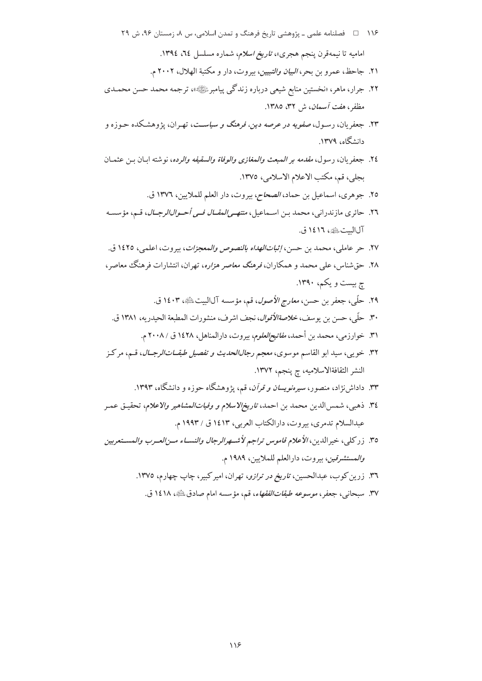- ۱۱۶ هـ فصلنامه علمي ـ پژوهشي تاريخ فرهنگ و تمدن اسلامي، س ٨، زمستان ٩۶، ش ٢٩ امامیه تا نیمهقرن پنجم هجری»، *تاریخ اسلام*، شماره مسلسل ۲۶، ۱۳۹٤.
	- ۲۱. جاحظ، عمرو بن بحر، *البيان والتبيين*، بيروت، دار و مكتبة الهلال، ۲۰۰۲ م.
- ۲۲. جرار، ماهر، «نخستین منابع شیعی درباره زندگی پیامبرﷺ»، ترجمه محمد حسن محمـدی مظفر، *هفت آسمان*، ش ۳۲، ۱۳۸۵.
- ۲۳. جعفریان، رسـول، *صفویه در عرصه دین، فرهنگ و سیاسـت*، تهـران، یژوهشـکده حـوزه و دانشگاه، ۱۳۷۹.
- ٢٤. جعفريان، رسول، *مقدمه بر المبعث والمغازي والوفاة والسقيفه والرده*، نوشته ابـان بـن عثمـان بجلي، قم، مكتب الاعلام الاسلامي، ١٣٧٥.
	- ٢٥. جوهري، اسماعيل بن حماد، *الصحاح*، بيروت، دار العلم للملايين، ١٣٧٦ ق.
- ٢٦. حائري مازندراني، محمد بـن اسـماعيل، *منتهـي المقــال فــي أحــوالـالرجــال*، قـم، مؤسسـه آلالبيتﷺ، ١٤١٦ ق.
- ٢٧. حر عاملي، محمد بن حسن، إثب*ات الهداه بالنصوص والمعجزات*، بيروت، اعلمي، ١٤٢٥ ق.
- ۲۸. حق شناس، علی محمد و همکاران، *فرهنگ معاصر هزاره*، تهران، انتشارات فرهنگ معاصر، ج بیست و یکم، ۱۳۹۰.
	- ٢٩. حلَّى، جعفر بن حسن، *معارج الأصول*، قم، مؤسسه آلاليت ﷺ، ١٤٠٣ ق.
	- ٣٠. حلَّى، حسن بن يوسف، *خلاصةالأقوال*، نجف اشرف، منشورات المطبعة الحيدريه، ١٣٨١ ق.
		- ٣١. خوارزمي، محمد بن أحمد، *مفاتيحالعلوم*، بيروت، دارالمناهل، ١٤٢٨ ق / ٢٠٠٨ م.
- ۳۲. خويبي، سيد ابو القاسم موسوى، *معجم رجالالحديث و تفصيل طبقــاتالرجــال*، قـم، مركـز النشر الثقافةالاسلاميه، چ پنجم، ١٣٧٢.
	- ۳۳. داداشiزاد، منصور، *سیرمنویسان و قرآن*، قم، پژوهشگاه حوزه و دانشگاه، ۱۳۹۳.
- ٣٤. ذهبي، شمس الدين محمد بن احمد، *تاريخالاسلام و وفياتالمشاهير والاعلام*، تحقيـق عمـر عبدالسلام تدمري، بيروت، دارالكتاب العربي، ١٤١٣ ق / ١٩٩٣ م.
- ٣٥. زر كلي، خيرالدين، *الأعلام قاموس تراجم لأشــهرالرجال والنســاء مــنالعـرب وال*مســتعر*بين* والمستشرقين، بيروت، دارالعلم للملايين، ١٩٨٩ م.
	- ۳٦. زرین کوب، عبدالحسین، *تاریخ در ترازو*، تهران، امیرکبیر، چاپ چهارم، ١٣٧٥.
		- ۳۷. سبحان<sub>ی</sub>، جعفر، *موسوعه طبقاتالفقهاء*، قم، مؤسسه امام صادقﷺ، ۱٤۱۸ ق.